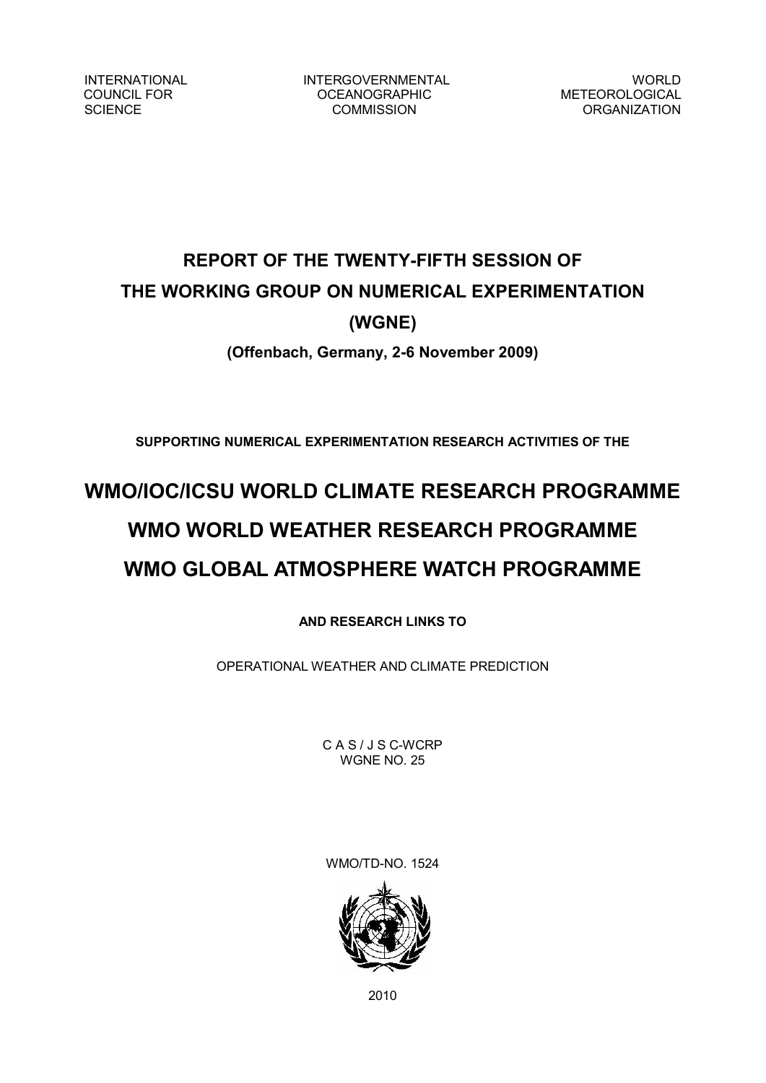INTERNATIONAL INTERGOVERNMENTAL WORLD<br>COUNCIL FOR COUNCIL FOR COUNCIL OCEANOGRAPHIC METEOROLOGICAL COUNCIL FOR OCEANOGRAPHIC<br>SCIENCE COMMISSION

ORGANIZATION

# **REPORT OF THE TWENTY-FIFTH SESSION OF THE WORKING GROUP ON NUMERICAL EXPERIMENTATION (WGNE)**

# **(Offenbach, Germany, 26 November 2009)**

**SUPPORTING NUMERICAL EXPERIMENTATION RESEARCH ACTIVITIES OF THE** 

# **WMO/IOC/ICSU WORLD CLIMATE RESEARCH PROGRAMME WMO WORLD WEATHER RESEARCH PROGRAMME WMO GLOBAL ATMOSPHERE WATCH PROGRAMME**

**AND RESEARCH LINKS TO**

OPERATIONAL WEATHER AND CLIMATE PREDICTION

CAS/JSC-WCRP WGNE NO. 25

WMO/TD-NO. 1524



2010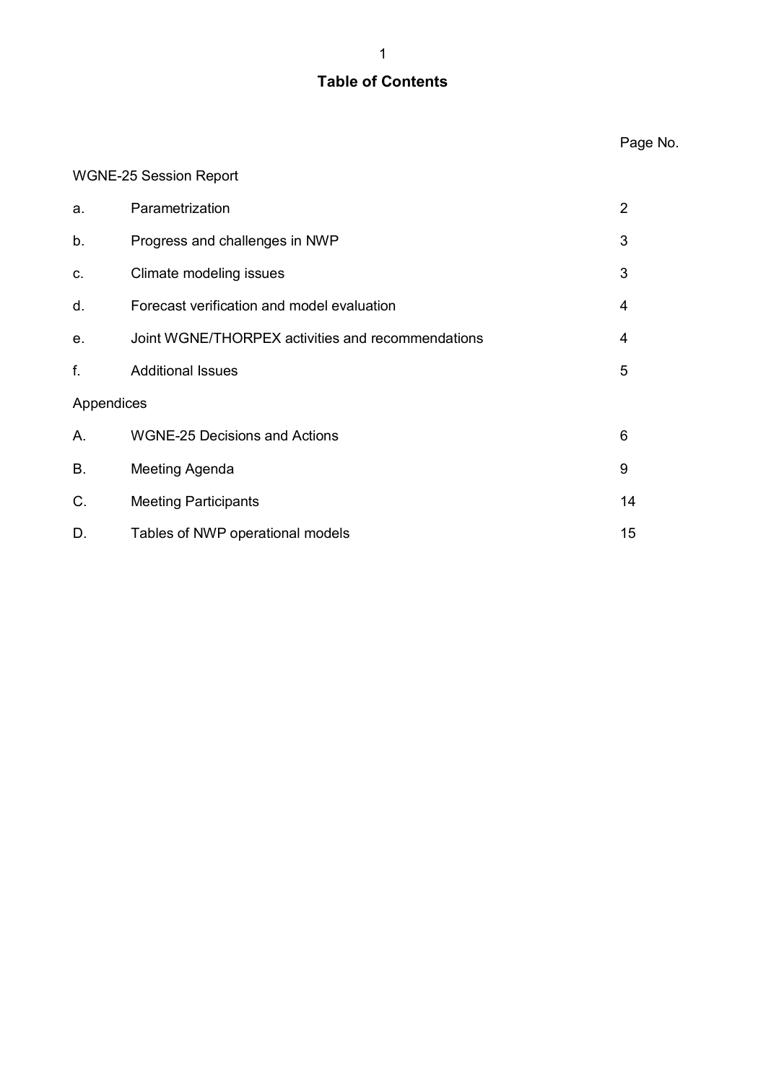# **Table of Contents**

## WGNE-25 Session Report

| a.          | Parametrization                                   | $\overline{2}$ |
|-------------|---------------------------------------------------|----------------|
| b.          | Progress and challenges in NWP                    | 3              |
| C.          | Climate modeling issues                           | 3              |
| d.          | Forecast verification and model evaluation        | 4              |
| е.          | Joint WGNE/THORPEX activities and recommendations | 4              |
| f.          | <b>Additional Issues</b>                          | 5              |
| Appendices  |                                                   |                |
| А.          | <b>WGNE-25 Decisions and Actions</b>              | 6              |
| <b>B.</b>   | Meeting Agenda                                    | 9              |
| $C_{\cdot}$ | <b>Meeting Participants</b>                       | 14             |
| D.          | Tables of NWP operational models                  | 15             |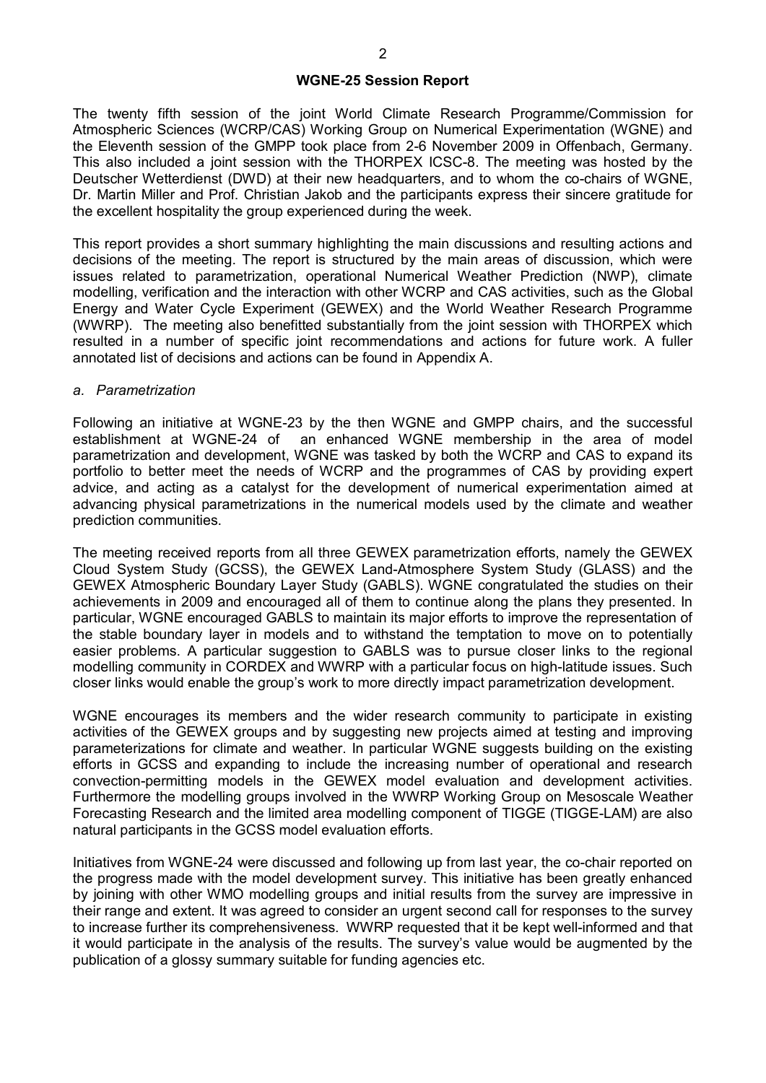#### **WGNE25 Session Report**

The twenty fifth session of the joint World Climate Research Programme/Commission for Atmospheric Sciences (WCRP/CAS) Working Group on Numerical Experimentation (WGNE) and the Eleventh session of the GMPP took place from 26 November 2009 in Offenbach, Germany. This also included a joint session with the THORPEX ICSC-8. The meeting was hosted by the Deutscher Wetterdienst (DWD) at their new headquarters, and to whom the cochairs of WGNE, Dr. Martin Miller and Prof. Christian Jakob and the participants express their sincere gratitude for the excellent hospitality the group experienced during the week.

This report provides a short summary highlighting the main discussions and resulting actions and decisions of the meeting. The report is structured by the main areas of discussion, which were issues related to parametrization, operational Numerical Weather Prediction (NWP), climate modelling, verification and the interaction with other WCRP and CAS activities, such as the Global Energy and Water Cycle Experiment (GEWEX) and the World Weather Research Programme (WWRP). The meeting also benefitted substantially from the joint session with THORPEX which resulted in a number of specific joint recommendations and actions for future work. A fuller annotated list of decisions and actions can be found in Appendix A.

#### *a. Parametrization*

Following an initiative at WGNE-23 by the then WGNE and GMPP chairs, and the successful establishment at WGNE-24 of an enhanced WGNE membership in the area of model parametrization and development, WGNE was tasked by both the WCRP and CAS to expand its portfolio to better meet the needs of WCRP and the programmes of CAS by providing expert advice, and acting as a catalyst for the development of numerical experimentation aimed at advancing physical parametrizations in the numerical models used by the climate and weather prediction communities.

The meeting received reports from all three GEWEX parametrization efforts, namely the GEWEX Cloud System Study (GCSS), the GEWEX Land-Atmosphere System Study (GLASS) and the GEWEX Atmospheric Boundary Layer Study (GABLS). WGNE congratulated the studies on their achievements in 2009 and encouraged all of them to continue along the plans they presented. In particular, WGNE encouraged GABLS to maintain its major efforts to improve the representation of the stable boundary layer in models and to withstand the temptation to move on to potentially easier problems. A particular suggestion to GABLS was to pursue closer links to the regional modelling community in CORDEX and WWRP with a particular focus on high-latitude issues. Such closer links would enable the group's work to more directly impact parametrization development.

WGNE encourages its members and the wider research community to participate in existing activities of the GEWEX groups and by suggesting new projects aimed at testing and improving parameterizations for climate and weather. In particular WGNE suggests building on the existing efforts in GCSS and expanding to include the increasing number of operational and research convection-permitting models in the GEWEX model evaluation and development activities. Furthermore the modelling groups involved in the WWRP Working Group on Mesoscale Weather Forecasting Research and the limited area modelling component of TIGGE (TIGGE-LAM) are also natural participants in the GCSS model evaluation efforts.

Initiatives from WGNE-24 were discussed and following up from last year, the co-chair reported on the progress made with the model development survey. This initiative has been greatly enhanced by joining with other WMO modelling groups and initial results from the survey are impressive in their range and extent. It was agreed to consider an urgent second call for responses to the survey to increase further its comprehensiveness. WWRP requested that it be kept well-informed and that it would participate in the analysis of the results. The survey's value would be augmented by the publication of a glossy summary suitable for funding agencies etc.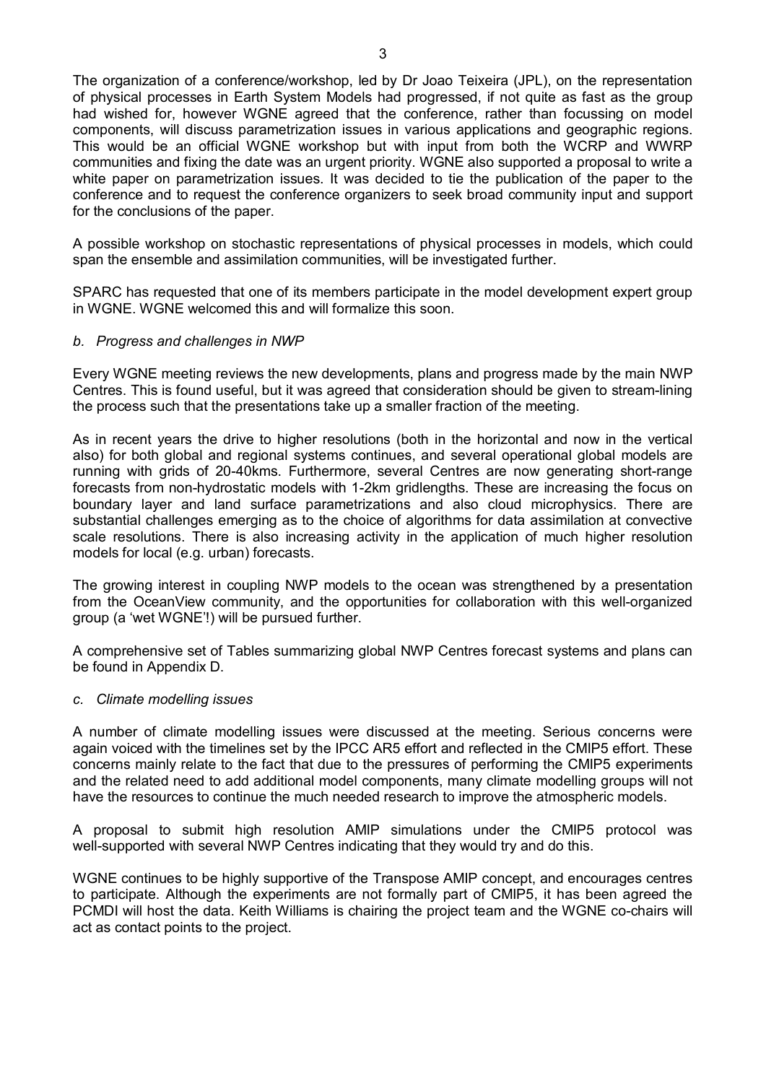The organization of a conference/workshop, led by Dr Joao Teixeira (JPL), on the representation of physical processes in Earth System Models had progressed, if not quite as fast as the group had wished for, however WGNE agreed that the conference, rather than focussing on model components, will discuss parametrization issues in various applications and geographic regions. This would be an official WGNE workshop but with input from both the WCRP and WWRP communities and fixing the date was an urgent priority. WGNE also supported a proposal to write a white paper on parametrization issues. It was decided to tie the publication of the paper to the conference and to request the conference organizers to seek broad community input and support for the conclusions of the paper.

A possible workshop on stochastic representations of physical processes in models, which could span the ensemble and assimilation communities, will be investigated further.

SPARC has requested that one of its members participate in the model development expert group in WGNE. WGNE welcomed this and will formalize this soon.

#### *b. Progress and challenges in NWP*

Every WGNE meeting reviews the new developments, plans and progress made by the main NWP Centres. This is found useful, but it was agreed that consideration should be given to stream-lining the process such that the presentations take up a smaller fraction of the meeting.

As in recent years the drive to higher resolutions (both in the horizontal and now in the vertical also) for both global and regional systems continues, and several operational global models are running with grids of 20-40kms. Furthermore, several Centres are now generating short-range forecasts from nonhydrostatic models with 12km gridlengths. These are increasing the focus on boundary layer and land surface parametrizations and also cloud microphysics. There are substantial challenges emerging as to the choice of algorithms for data assimilation at convective scale resolutions. There is also increasing activity in the application of much higher resolution models for local (e.g. urban) forecasts.

The growing interest in coupling NWP models to the ocean was strengthened by a presentation from the OceanView community, and the opportunities for collaboration with this well-organized group (a 'wet WGNE'!) will be pursued further.

A comprehensive set of Tables summarizing global NWP Centres forecast systems and plans can be found in Appendix D.

#### *c. Climate modelling issues*

A number of climate modelling issues were discussed at the meeting. Serious concerns were again voiced with the timelines set by the IPCC AR5 effort and reflected in the CMIP5 effort. These concerns mainly relate to the fact that due to the pressures of performing the CMIP5 experiments and the related need to add additional model components, many climate modelling groups will not have the resources to continue the much needed research to improve the atmospheric models.

A proposal to submit high resolution AMIP simulations under the CMIP5 protocol was well-supported with several NWP Centres indicating that they would try and do this.

WGNE continues to be highly supportive of the Transpose AMIP concept, and encourages centres to participate. Although the experiments are not formally part of CMIP5, it has been agreed the PCMDI will host the data. Keith Williams is chairing the project team and the WGNE cochairs will act as contact points to the project.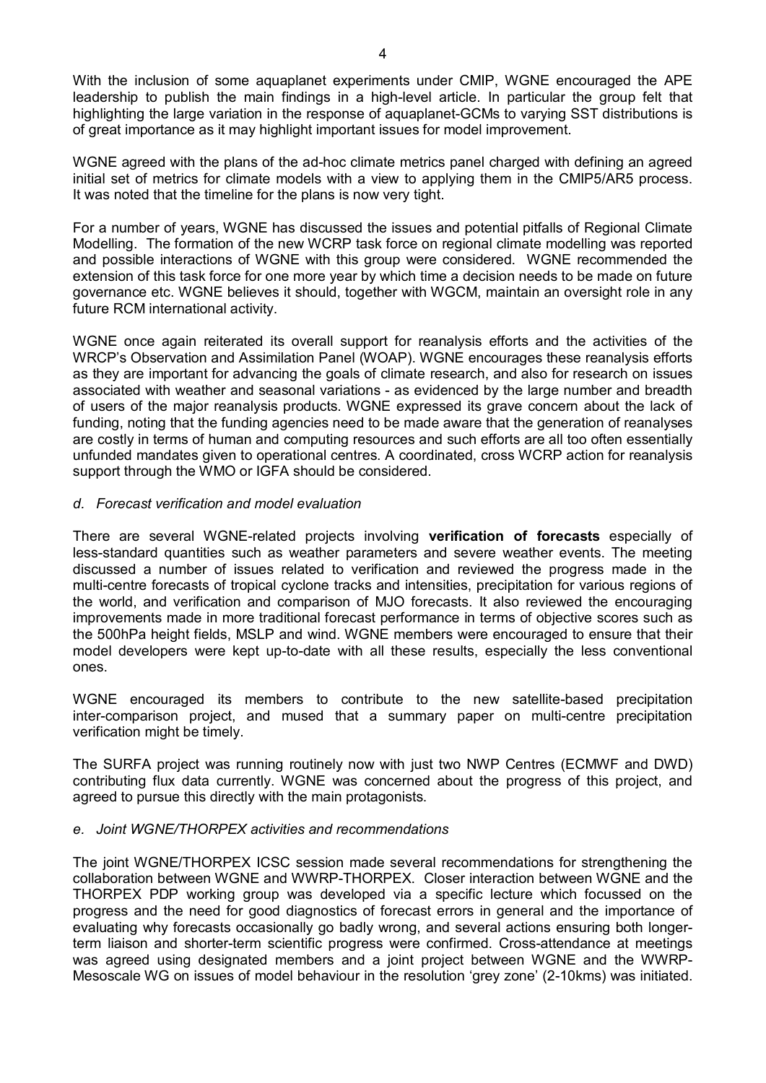With the inclusion of some aquaplanet experiments under CMIP, WGNE encouraged the APE leadership to publish the main findings in a high-level article. In particular the group felt that highlighting the large variation in the response of aquaplanet-GCMs to varying SST distributions is of great importance as it may highlight important issues for model improvement.

WGNE agreed with the plans of the ad-hoc climate metrics panel charged with defining an agreed initial set of metrics for climate models with a view to applying them in the CMIP5/AR5 process. It was noted that the timeline for the plans is now very tight.

For a number of years, WGNE has discussed the issues and potential pitfalls of Regional Climate Modelling. The formation of the new WCRP task force on regional climate modelling was reported and possible interactions of WGNE with this group were considered. WGNE recommended the extension of this task force for one more year by which time a decision needs to be made on future governance etc. WGNE believes it should, together with WGCM, maintain an oversight role in any future RCM international activity.

WGNE once again reiterated its overall support for reanalysis efforts and the activities of the WRCP's Observation and Assimilation Panel (WOAP). WGNE encourages these reanalysis efforts as they are important for advancing the goals of climate research, and also for research on issues associated with weather and seasonal variations - as evidenced by the large number and breadth of users of the major reanalysis products. WGNE expressed its grave concern about the lack of funding, noting that the funding agencies need to be made aware that the generation of reanalyses are costly in terms of human and computing resources and such efforts are all too often essentially unfunded mandates given to operational centres. A coordinated, cross WCRP action for reanalysis support through the WMO or IGFA should be considered.

#### *d. Forecast verification and model evaluation*

There are several WGNE-related projects involving **verification of forecasts** especially of lessstandard quantities such as weather parameters and severe weather events. The meeting discussed a number of issues related to verification and reviewed the progress made in the multi-centre forecasts of tropical cyclone tracks and intensities, precipitation for various regions of the world, and verification and comparison of MJO forecasts. It also reviewed the encouraging improvements made in more traditional forecast performance in terms of objective scores such as the 500hPa height fields, MSLP and wind. WGNE members were encouraged to ensure that their model developers were kept up-to-date with all these results, especially the less conventional ones.

WGNE encouraged its members to contribute to the new satellite-based precipitation inter-comparison project, and mused that a summary paper on multi-centre precipitation verification might be timely.

The SURFA project was running routinely now with just two NWP Centres (ECMWF and DWD) contributing flux data currently. WGNE was concerned about the progress of this project, and agreed to pursue this directly with the main protagonists.

#### *e. Joint WGNE/THORPEX activities and recommendations*

The joint WGNE/THORPEX ICSC session made several recommendations for strengthening the collaboration between WGNE and WWRP-THORPEX. Closer interaction between WGNE and the THORPEX PDP working group was developed via a specific lecture which focussed on the progress and the need for good diagnostics of forecast errors in general and the importance of evaluating why forecasts occasionally go badly wrong, and several actions ensuring both longerterm liaison and shorter-term scientific progress were confirmed. Cross-attendance at meetings was agreed using designated members and a joint project between WGNE and the WWRP-Mesoscale WG on issues of model behaviour in the resolution 'grey zone' (2-10kms) was initiated.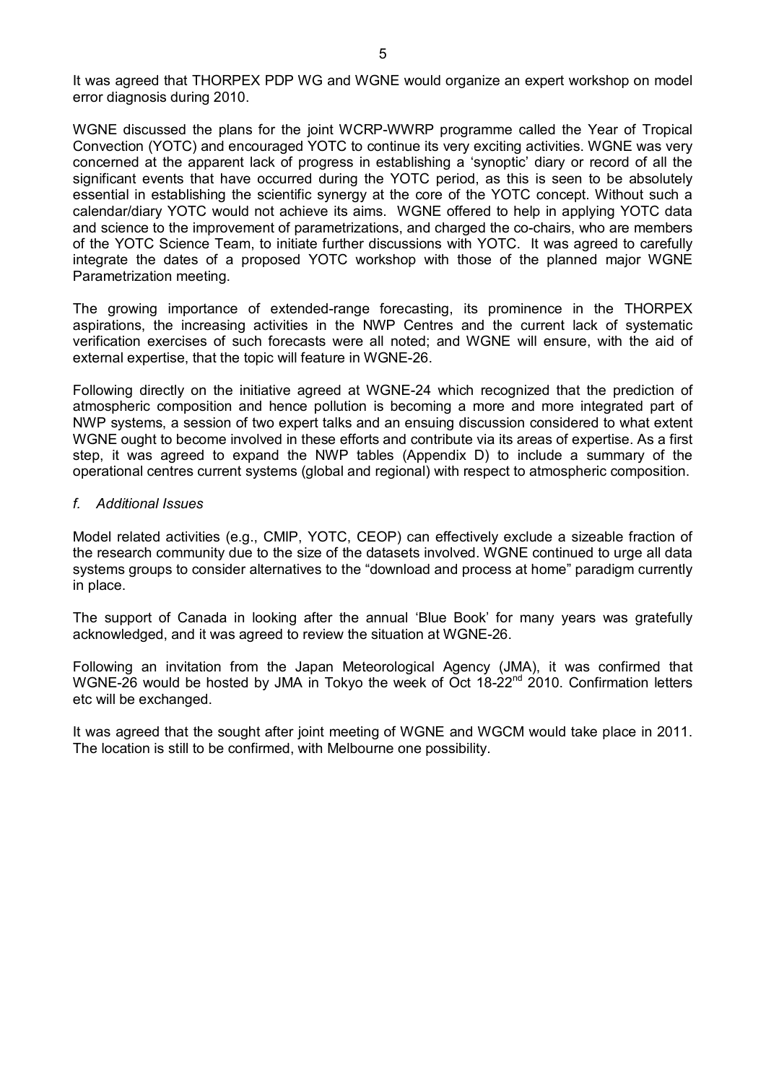It was agreed that THORPEX PDP WG and WGNE would organize an expert workshop on model error diagnosis during 2010.

WGNE discussed the plans for the joint WCRP-WWRP programme called the Year of Tropical Convection (YOTC) and encouraged YOTC to continue its very exciting activities. WGNE was very concerned at the apparent lack of progress in establishing a 'synoptic' diary or record of all the significant events that have occurred during the YOTC period, as this is seen to be absolutely essential in establishing the scientific synergy at the core of the YOTC concept. Without such a calendar/diary YOTC would not achieve its aims. WGNE offered to help in applying YOTC data and science to the improvement of parametrizations, and charged the co-chairs, who are members of the YOTC Science Team, to initiate further discussions with YOTC. It was agreed to carefully integrate the dates of a proposed YOTC workshop with those of the planned major WGNE Parametrization meeting.

The growing importance of extended-range forecasting, its prominence in the THORPEX aspirations, the increasing activities in the NWP Centres and the current lack of systematic verification exercises of such forecasts were all noted; and WGNE will ensure, with the aid of external expertise, that the topic will feature in WGNE-26.

Following directly on the initiative agreed at WGNE-24 which recognized that the prediction of atmospheric composition and hence pollution is becoming a more and more integrated part of NWP systems, a session of two expert talks and an ensuing discussion considered to what extent WGNE ought to become involved in these efforts and contribute via its areas of expertise. As a first step, it was agreed to expand the NWP tables (Appendix D) to include a summary of the operational centres current systems (global and regional) with respect to atmospheric composition.

#### *f. Additional Issues*

Model related activities (e.g., CMIP, YOTC, CEOP) can effectively exclude a sizeable fraction of the research community due to the size of the datasets involved. WGNE continued to urge all data systems groups to consider alternatives to the "download and process at home" paradigm currently in place.

The support of Canada in looking after the annual 'Blue Book' for many years was gratefully acknowledged, and it was agreed to review the situation at WGNE-26.

Following an invitation from the Japan Meteorological Agency (JMA), it was confirmed that WGNE-26 would be hosted by JMA in Tokyo the week of Oct 18-22<sup>nd</sup> 2010. Confirmation letters etc will be exchanged.

It was agreed that the sought after joint meeting of WGNE and WGCM would take place in 2011. The location is still to be confirmed, with Melbourne one possibility.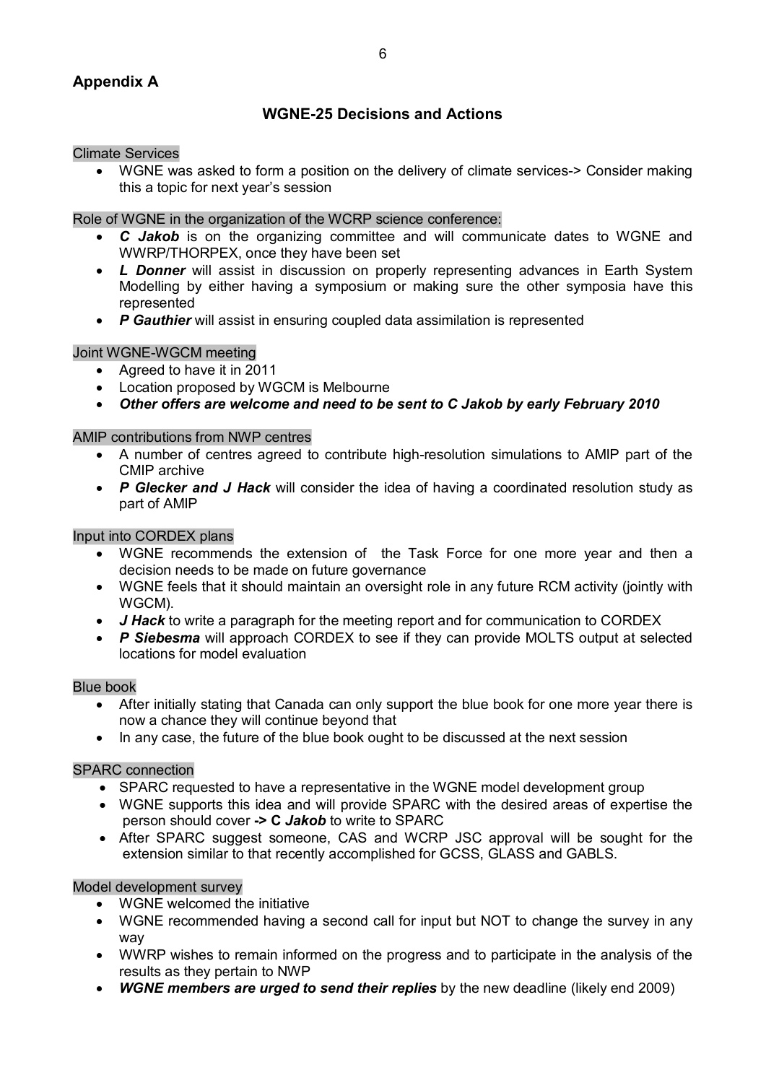# **Appendix A**

# **WGNE25 Decisions and Actions**

#### Climate Services

• WGNE was asked to form a position on the delivery of climate services-> Consider making this a topic for next year's session

#### Role of WGNE in the organization of the WCRP science conference:

- · *C Jakob* is on the organizing committee and will communicate dates to WGNE and WWRP/THORPEX, once they have been set
- *L Donner* will assist in discussion on properly representing advances in Earth System Modelling by either having a symposium or making sure the other symposia have this represented
- · *P Gauthier* will assist in ensuring coupled data assimilation is represented

#### Joint WGNE-WGCM meeting

- · Agreed to have it in 2011
- · Location proposed by WGCM is Melbourne
- · *Other offers are welcome and need to be sent to C Jakob by early February 2010*

#### AMIP contributions from NWP centres

- A number of centres agreed to contribute high-resolution simulations to AMIP part of the CMIP archive
- · *P Glecker and J Hack* will consider the idea of having a coordinated resolution study as part of AMIP

#### Input into CORDEX plans

- · WGNE recommends the extension of the Task Force for one more year and then a decision needs to be made on future governance
- · WGNE feels that it should maintain an oversight role in any future RCM activity (jointly with WGCM).
- *J Hack* to write a paragraph for the meeting report and for communication to CORDEX
- · *P Siebesma* will approach CORDEX to see if they can provide MOLTS output at selected locations for model evaluation

#### Blue book

- · After initially stating that Canada can only support the blue book for one more year there is now a chance they will continue beyond that
- · In any case, the future of the blue book ought to be discussed at the next session

#### SPARC connection

- · SPARC requested to have a representative in the WGNE model development group
- · WGNE supports this idea and will provide SPARC with the desired areas of expertise the person should cover **> C** *Jakob* to write to SPARC
- · After SPARC suggest someone, CAS and WCRP JSC approval will be sought for the extension similar to that recently accomplished for GCSS, GLASS and GABLS.

#### Model development survey

- · WGNE welcomed the initiative
- · WGNE recommended having a second call for input but NOT to change the survey in any way
- · WWRP wishes to remain informed on the progress and to participate in the analysis of the results as they pertain to NWP
- · *WGNE members are urged to send their replies* by the new deadline (likely end 2009)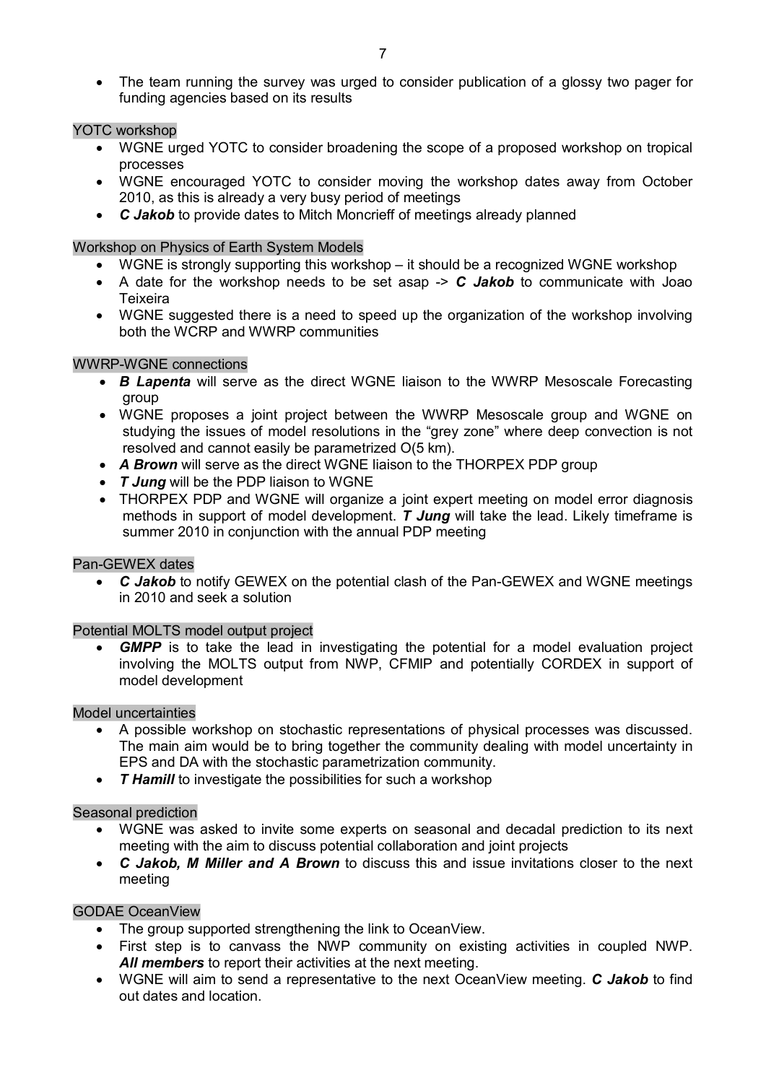· The team running the survey was urged to consider publication of a glossy two pager for funding agencies based on its results

# YOTC workshop

- · WGNE urged YOTC to consider broadening the scope of a proposed workshop on tropical processes
- · WGNE encouraged YOTC to consider moving the workshop dates away from October 2010, as this is already a very busy period of meetings
- · *C Jakob* to provide dates to Mitch Moncrieff of meetings already planned

# Workshop on Physics of Earth System Models

- WGNE is strongly supporting this workshop it should be a recognized WGNE workshop
- A date for the workshop needs to be set asap  $\geq C$  *Jakob* to communicate with Joao Teixeira
- · WGNE suggested there is a need to speed up the organization of the workshop involving both the WCRP and WWRP communities

# WWRP-WGNE connections

- · *B Lapenta* will serve as the direct WGNE liaison to the WWRP Mesoscale Forecasting group
- · WGNE proposes a joint project between the WWRP Mesoscale group and WGNE on studying the issues of model resolutions in the "grey zone" where deep convection is not resolved and cannot easily be parametrized O(5 km).
- · *A Brown* will serve as the direct WGNE liaison to the THORPEX PDP group
- · *T Jung* will be the PDP liaison to WGNE
- · THORPEX PDP and WGNE will organize a joint expert meeting on model error diagnosis methods in support of model development. *T Jung* will take the lead. Likely timeframe is summer 2010 in conjunction with the annual PDP meeting

#### Pan-GEWEX dates

• C *Jakob* to notify GEWEX on the potential clash of the Pan-GEWEX and WGNE meetings in 2010 and seek a solution

#### Potential MOLTS model output project

**GMPP** is to take the lead in investigating the potential for a model evaluation project involving the MOLTS output from NWP, CFMIP and potentially CORDEX in support of model development

#### Model uncertainties

- · A possible workshop on stochastic representations of physical processes was discussed. The main aim would be to bring together the community dealing with model uncertainty in EPS and DA with the stochastic parametrization community.
- · *T Hamill* to investigate the possibilities for such a workshop

#### Seasonal prediction

- · WGNE was asked to invite some experts on seasonal and decadal prediction to its next meeting with the aim to discuss potential collaboration and joint projects
- · *C Jakob, M Miller and A Brown* to discuss this and issue invitations closer to the next meeting

#### GODAE OceanView

- · The group supported strengthening the link to OceanView.
- · First step is to canvass the NWP community on existing activities in coupled NWP. All members to report their activities at the next meeting.
- · WGNE will aim to send a representative to the next OceanView meeting. *C Jakob* to find out dates and location.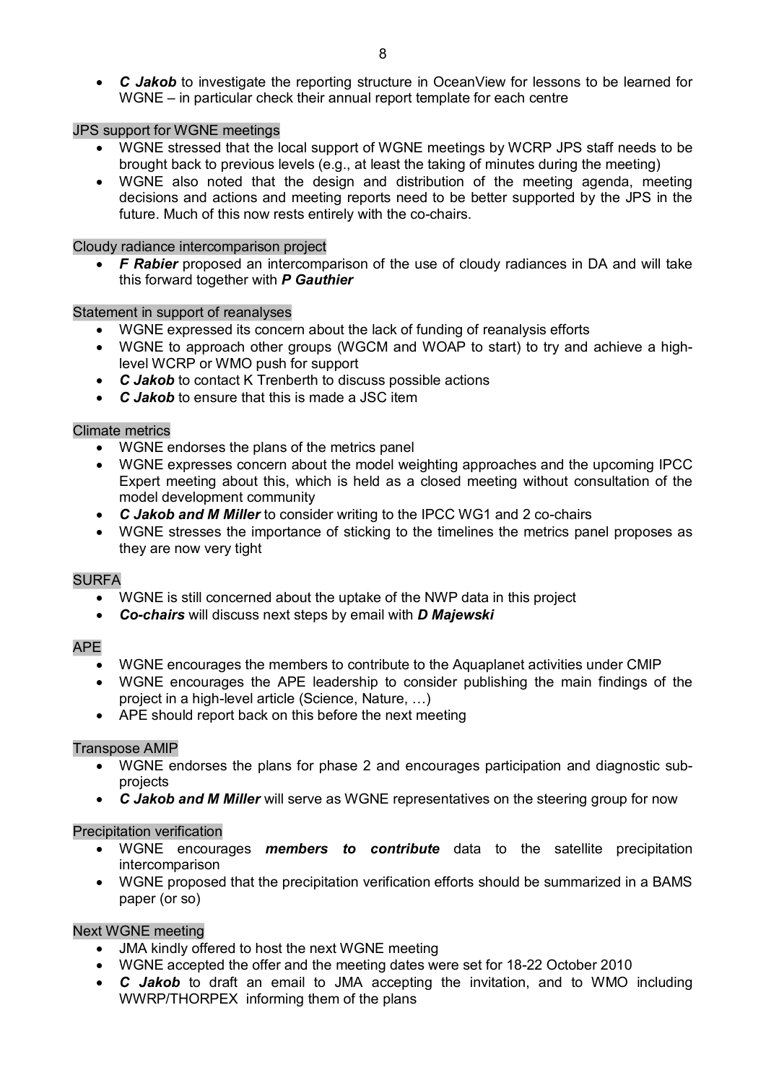· *C Jakob* to investigate the reporting structure in OceanView for lessons to be learned for WGNE – in particular check their annual report template for each centre

#### JPS support for WGNE meetings

- · WGNE stressed that the local support of WGNE meetings by WCRP JPS staff needs to be brought back to previous levels (e.g., at least the taking of minutes during the meeting)
- WGNE also noted that the design and distribution of the meeting agenda, meeting decisions and actions and meeting reports need to be better supported by the JPS in the future. Much of this now rests entirely with the co-chairs.

#### Cloudy radiance intercomparison project

· *F Rabier* proposed an intercomparison of the use of cloudy radiances in DA and will take this forward together with *P Gauthier*

#### Statement in support of reanalyses

- · WGNE expressed its concern about the lack of funding of reanalysis efforts
- · WGNE to approach other groups (WGCM and WOAP to start) to try and achieve a highlevel WCRP or WMO push for support
- · *C Jakob* to contact K Trenberth to discuss possible actions
- · *C Jakob* to ensure that this is made a JSC item

#### Climate metrics

- · WGNE endorses the plans of the metrics panel
- · WGNE expresses concern about the model weighting approaches and the upcoming IPCC Expert meeting about this, which is held as a closed meeting without consultation of the model development community
- · *C Jakob and M Miller* to consider writing to the IPCC WG1 and 2 cochairs
- · WGNE stresses the importance of sticking to the timelines the metrics panel proposes as they are now very tight

#### SURFA

- · WGNE is still concerned about the uptake of the NWP data in this project
- · *Cochairs* will discuss next steps by email with *D Majewski*

#### APE

- · WGNE encourages the members to contribute to the Aquaplanet activities under CMIP
- WGNE encourages the APE leadership to consider publishing the main findings of the project in a high-level article (Science, Nature, ...)
- · APE should report back on this before the next meeting

#### Transpose AMIP

- · WGNE endorses the plans for phase 2 and encourages participation and diagnostic sub projects
- · *C Jakob and M Miller* will serve as WGNE representatives on the steering group for now

#### Precipitation verification

- · WGNE encourages *members to contribute* data to the satellite precipitation intercomparison
- · WGNE proposed that the precipitation verification efforts should be summarized in a BAMS paper (or so)

## Next WGNE meeting

- JMA kindly offered to host the next WGNE meeting
- WGNE accepted the offer and the meeting dates were set for 18-22 October 2010
- · *C Jakob* to draft an email to JMA accepting the invitation, and to WMO including WWRP/THORPEX informing them of the plans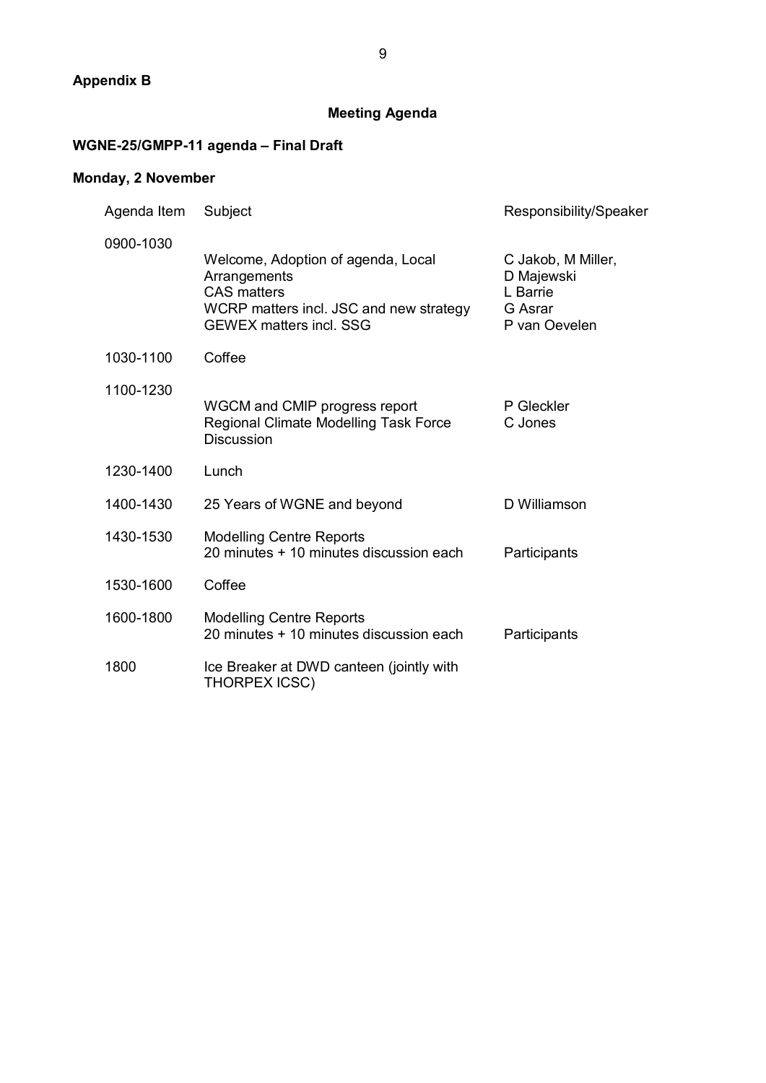# **Appendix B**

# **Meeting Agenda**

# WGNE-25/GMPP-11 agenda - Final Draft

# **Monday, 2 November**

| Agenda Item | Subject                                                                                                                                               | Responsibility/Speaker                                                   |  |
|-------------|-------------------------------------------------------------------------------------------------------------------------------------------------------|--------------------------------------------------------------------------|--|
| 0900-1030   | Welcome, Adoption of agenda, Local<br>Arrangements<br><b>CAS</b> matters<br>WCRP matters incl. JSC and new strategy<br><b>GEWEX matters incl. SSG</b> | C Jakob, M Miller,<br>D Majewski<br>L Barrie<br>G Asrar<br>P van Oevelen |  |
| 1030-1100   | Coffee                                                                                                                                                |                                                                          |  |
| 1100-1230   | WGCM and CMIP progress report<br>Regional Climate Modelling Task Force<br><b>Discussion</b>                                                           | P Gleckler<br>C Jones                                                    |  |
| 1230-1400   | Lunch                                                                                                                                                 |                                                                          |  |
| 1400-1430   | 25 Years of WGNE and beyond                                                                                                                           | D Williamson                                                             |  |
| 1430-1530   | <b>Modelling Centre Reports</b><br>20 minutes + 10 minutes discussion each                                                                            | Participants                                                             |  |
| 1530-1600   | Coffee                                                                                                                                                |                                                                          |  |
| 1600-1800   | <b>Modelling Centre Reports</b><br>20 minutes + 10 minutes discussion each                                                                            | Participants                                                             |  |
| 1800        | Ice Breaker at DWD canteen (jointly with<br><b>THORPEX ICSC)</b>                                                                                      |                                                                          |  |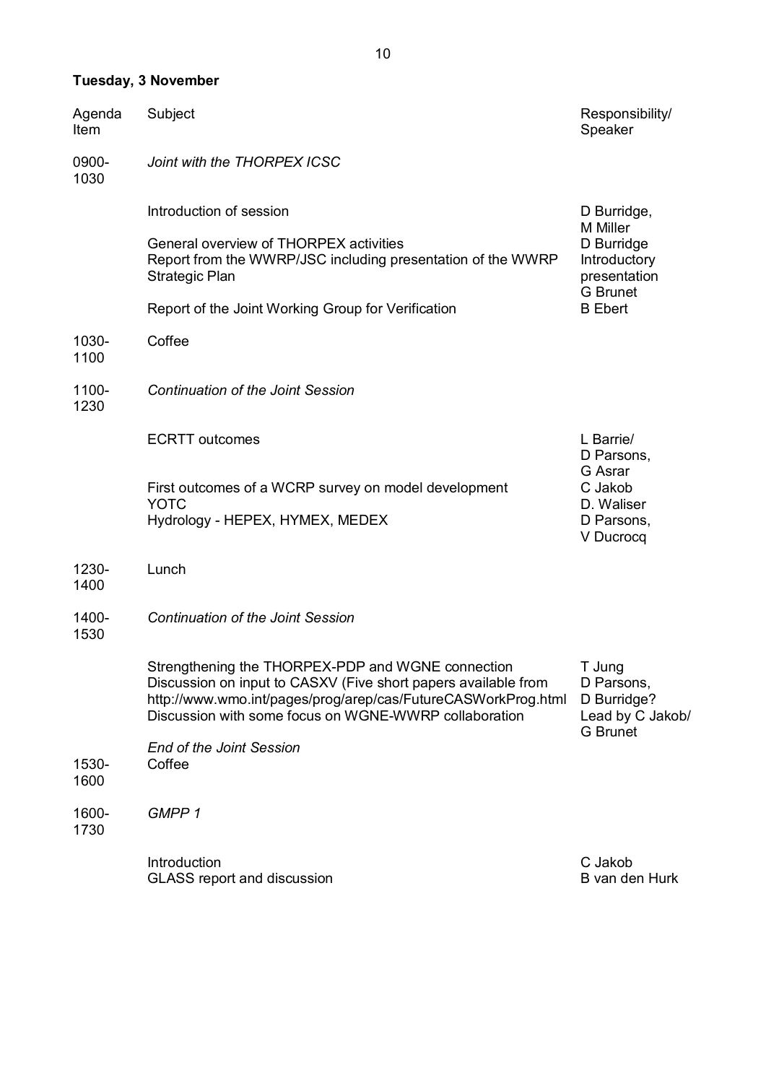# **Tuesday, 3 November**

| Agenda<br>Item | Subject                                                                                                                                                                                                                                       | Responsibility/<br>Speaker                                                 |
|----------------|-----------------------------------------------------------------------------------------------------------------------------------------------------------------------------------------------------------------------------------------------|----------------------------------------------------------------------------|
| 0900-<br>1030  | Joint with the THORPEX ICSC                                                                                                                                                                                                                   |                                                                            |
|                | Introduction of session                                                                                                                                                                                                                       | D Burridge,<br>M Miller                                                    |
|                | General overview of THORPEX activities<br>Report from the WWRP/JSC including presentation of the WWRP<br>Strategic Plan                                                                                                                       | D Burridge<br>Introductory<br>presentation<br><b>G</b> Brunet              |
|                | Report of the Joint Working Group for Verification                                                                                                                                                                                            | <b>B</b> Ebert                                                             |
| 1030-<br>1100  | Coffee                                                                                                                                                                                                                                        |                                                                            |
| 1100-<br>1230  | <b>Continuation of the Joint Session</b>                                                                                                                                                                                                      |                                                                            |
|                | <b>ECRTT</b> outcomes                                                                                                                                                                                                                         | L Barrie/<br>D Parsons,                                                    |
|                | First outcomes of a WCRP survey on model development<br><b>YOTC</b><br>Hydrology - HEPEX, HYMEX, MEDEX                                                                                                                                        | G Asrar<br>C Jakob<br>D. Waliser<br>D Parsons,<br>V Ducrocq                |
| 1230-<br>1400  | Lunch                                                                                                                                                                                                                                         |                                                                            |
| 1400-<br>1530  | <b>Continuation of the Joint Session</b>                                                                                                                                                                                                      |                                                                            |
|                | Strengthening the THORPEX-PDP and WGNE connection<br>Discussion on input to CASXV (Five short papers available from<br>http://www.wmo.int/pages/prog/arep/cas/FutureCASWorkProg.html<br>Discussion with some focus on WGNE-WWRP collaboration | T Jung<br>D Parsons,<br>D Burridge?<br>Lead by C Jakob/<br><b>G</b> Brunet |
| 1530-<br>1600  | <b>End of the Joint Session</b><br>Coffee                                                                                                                                                                                                     |                                                                            |
| 1600-<br>1730  | GMPP <sub>1</sub>                                                                                                                                                                                                                             |                                                                            |
|                | Introduction<br><b>GLASS report and discussion</b>                                                                                                                                                                                            | C Jakob<br>B van den Hurk                                                  |

10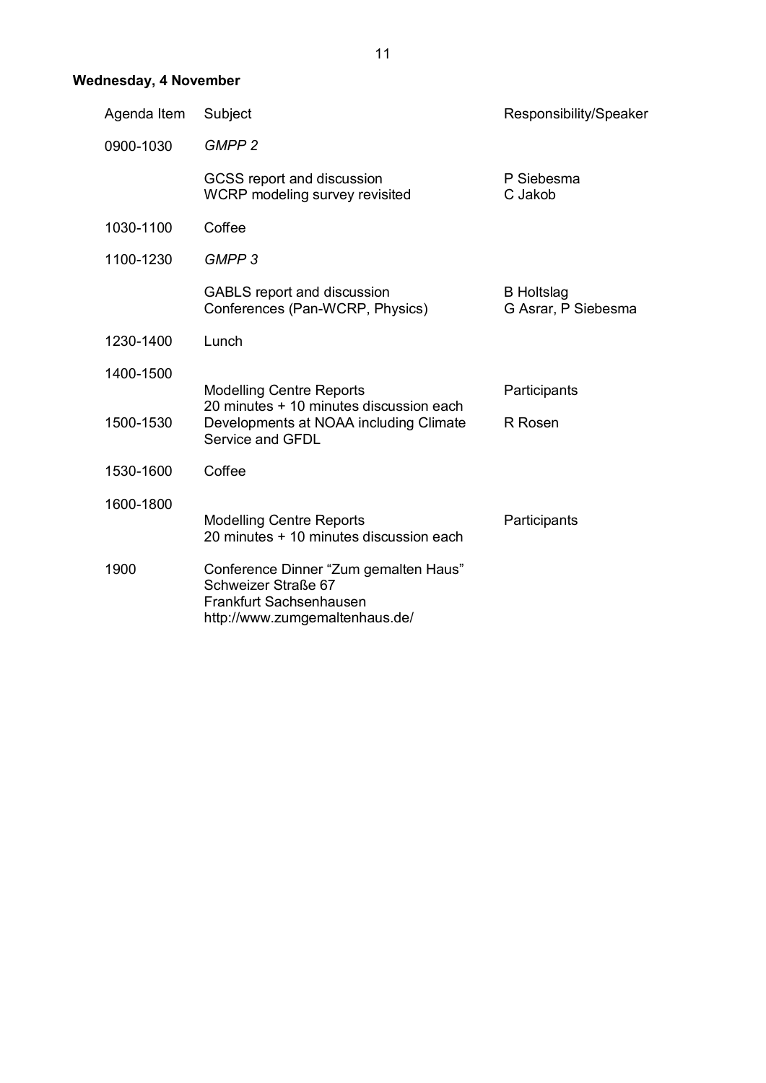# **Wednesday, 4 November**

| Agenda Item | Subject                                                                                                                                  | Responsibility/Speaker                   |
|-------------|------------------------------------------------------------------------------------------------------------------------------------------|------------------------------------------|
| 0900-1030   | GMPP <sub>2</sub>                                                                                                                        |                                          |
|             | GCSS report and discussion<br>WCRP modeling survey revisited                                                                             | P Siebesma<br>C Jakob                    |
| 1030-1100   | Coffee                                                                                                                                   |                                          |
| 1100-1230   | GMPP <sub>3</sub>                                                                                                                        |                                          |
|             | <b>GABLS</b> report and discussion<br>Conferences (Pan-WCRP, Physics)                                                                    | <b>B</b> Holtslag<br>G Asrar, P Siebesma |
| 1230-1400   | Lunch                                                                                                                                    |                                          |
| 1400-1500   |                                                                                                                                          |                                          |
| 1500-1530   | <b>Modelling Centre Reports</b><br>20 minutes + 10 minutes discussion each<br>Developments at NOAA including Climate<br>Service and GFDL | Participants<br>R Rosen                  |
| 1530-1600   | Coffee                                                                                                                                   |                                          |
| 1600-1800   | <b>Modelling Centre Reports</b><br>20 minutes + 10 minutes discussion each                                                               | Participants                             |
| 1900        | Conference Dinner "Zum gemalten Haus"<br>Schweizer Straße 67<br>Frankfurt Sachsenhausen<br>http://www.zumgemaltenhaus.de/                |                                          |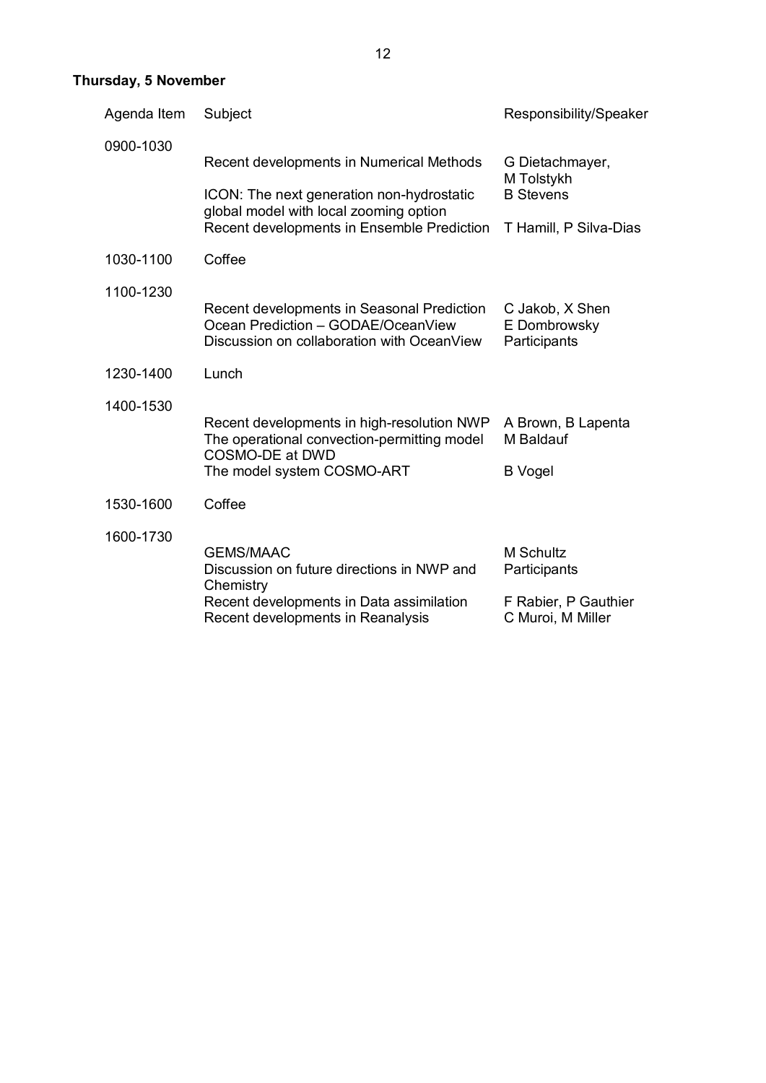# **Thursday, 5 November**

| Agenda Item | Subject                                                                                                                                                                       | Responsibility/Speaker                                                        |  |
|-------------|-------------------------------------------------------------------------------------------------------------------------------------------------------------------------------|-------------------------------------------------------------------------------|--|
| 0900-1030   | Recent developments in Numerical Methods<br>ICON: The next generation non-hydrostatic<br>global model with local zooming option<br>Recent developments in Ensemble Prediction | G Dietachmayer,<br>M Tolstykh<br><b>B</b> Stevens<br>T Hamill, P Silva-Dias   |  |
| 1030-1100   | Coffee                                                                                                                                                                        |                                                                               |  |
| 1100-1230   | Recent developments in Seasonal Prediction<br>Ocean Prediction - GODAE/OceanView<br>Discussion on collaboration with OceanView                                                | C Jakob, X Shen<br>E Dombrowsky<br>Participants                               |  |
| 1230-1400   | Lunch                                                                                                                                                                         |                                                                               |  |
| 1400-1530   | Recent developments in high-resolution NWP<br>The operational convection-permitting model<br>COSMO-DE at DWD<br>The model system COSMO-ART                                    | A Brown, B Lapenta<br>M Baldauf<br><b>B</b> Vogel                             |  |
| 1530-1600   | Coffee                                                                                                                                                                        |                                                                               |  |
| 1600-1730   | <b>GEMS/MAAC</b><br>Discussion on future directions in NWP and<br>Chemistry<br>Recent developments in Data assimilation<br>Recent developments in Reanalysis                  | <b>M Schultz</b><br>Participants<br>F Rabier, P Gauthier<br>C Muroi, M Miller |  |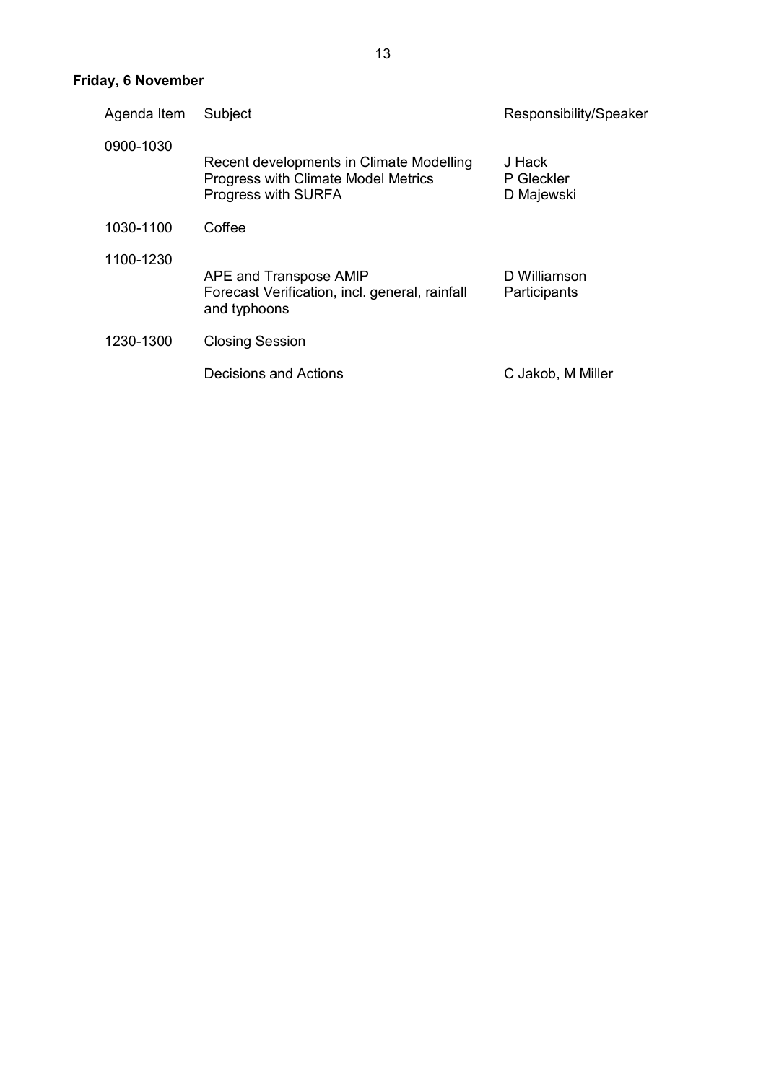# **Friday, 6 November**

| Agenda Item | Subject                                                                                                | Responsibility/Speaker             |
|-------------|--------------------------------------------------------------------------------------------------------|------------------------------------|
| 0900-1030   | Recent developments in Climate Modelling<br>Progress with Climate Model Metrics<br>Progress with SURFA | J Hack<br>P Gleckler<br>D Majewski |
| 1030-1100   | Coffee                                                                                                 |                                    |
| 1100-1230   | APE and Transpose AMIP<br>Forecast Verification, incl. general, rainfall<br>and typhoons               | D Williamson<br>Participants       |
| 1230-1300   | <b>Closing Session</b>                                                                                 |                                    |
|             | Decisions and Actions                                                                                  | C Jakob, M Miller                  |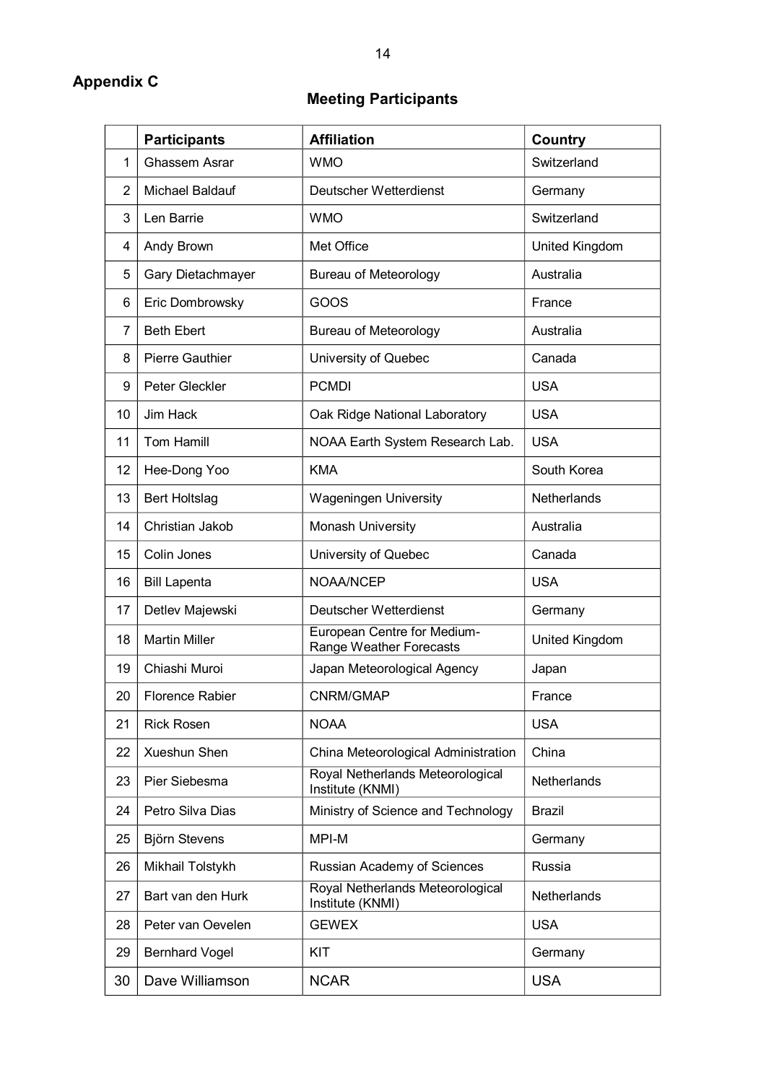# **Appendix C**

# **Meeting Participants**

|              | <b>Participants</b>    | <b>Affiliation</b>                                     | <b>Country</b>     |
|--------------|------------------------|--------------------------------------------------------|--------------------|
| $\mathbf{1}$ | Ghassem Asrar          | <b>WMO</b>                                             | Switzerland        |
| 2            | Michael Baldauf        | Deutscher Wetterdienst                                 | Germany            |
| 3            | Len Barrie             | <b>WMO</b>                                             | Switzerland        |
| 4            | Andy Brown             | Met Office                                             | United Kingdom     |
| 5            | Gary Dietachmayer      | <b>Bureau of Meteorology</b>                           | Australia          |
| 6            | Eric Dombrowsky        | GOOS                                                   | France             |
| 7            | <b>Beth Ebert</b>      | <b>Bureau of Meteorology</b>                           | Australia          |
| 8            | <b>Pierre Gauthier</b> | University of Quebec                                   | Canada             |
| 9            | Peter Gleckler         | <b>PCMDI</b>                                           | <b>USA</b>         |
| 10           | Jim Hack               | Oak Ridge National Laboratory                          | <b>USA</b>         |
| 11           | Tom Hamill             | NOAA Earth System Research Lab.                        | <b>USA</b>         |
| 12           | Hee-Dong Yoo           | <b>KMA</b>                                             | South Korea        |
| 13           | <b>Bert Holtslag</b>   | <b>Wageningen University</b>                           | Netherlands        |
| 14           | Christian Jakob        | Monash University                                      | Australia          |
| 15           | Colin Jones            | University of Quebec                                   | Canada             |
| 16           | <b>Bill Lapenta</b>    | NOAA/NCEP                                              | <b>USA</b>         |
| 17           | Detlev Majewski        | Deutscher Wetterdienst                                 | Germany            |
| 18           | <b>Martin Miller</b>   | European Centre for Medium-<br>Range Weather Forecasts | United Kingdom     |
| 19           | Chiashi Muroi          | Japan Meteorological Agency                            | Japan              |
| 20           | <b>Florence Rabier</b> | CNRM/GMAP                                              | France             |
| 21           | <b>Rick Rosen</b>      | <b>NOAA</b>                                            | <b>USA</b>         |
| 22           | Xueshun Shen           | China Meteorological Administration                    | China              |
| 23           | Pier Siebesma          | Royal Netherlands Meteorological<br>Institute (KNMI)   | <b>Netherlands</b> |
| 24           | Petro Silva Dias       | Ministry of Science and Technology                     | <b>Brazil</b>      |
| 25           | Björn Stevens          | MPI-M                                                  | Germany            |
| 26           | Mikhail Tolstykh       | Russian Academy of Sciences                            | Russia             |
| 27           | Bart van den Hurk      | Royal Netherlands Meteorological<br>Institute (KNMI)   | Netherlands        |
| 28           | Peter van Oevelen      | <b>GEWEX</b>                                           | <b>USA</b>         |
| 29           | <b>Bernhard Vogel</b>  | <b>KIT</b>                                             | Germany            |
| 30           | Dave Williamson        | <b>NCAR</b>                                            | <b>USA</b>         |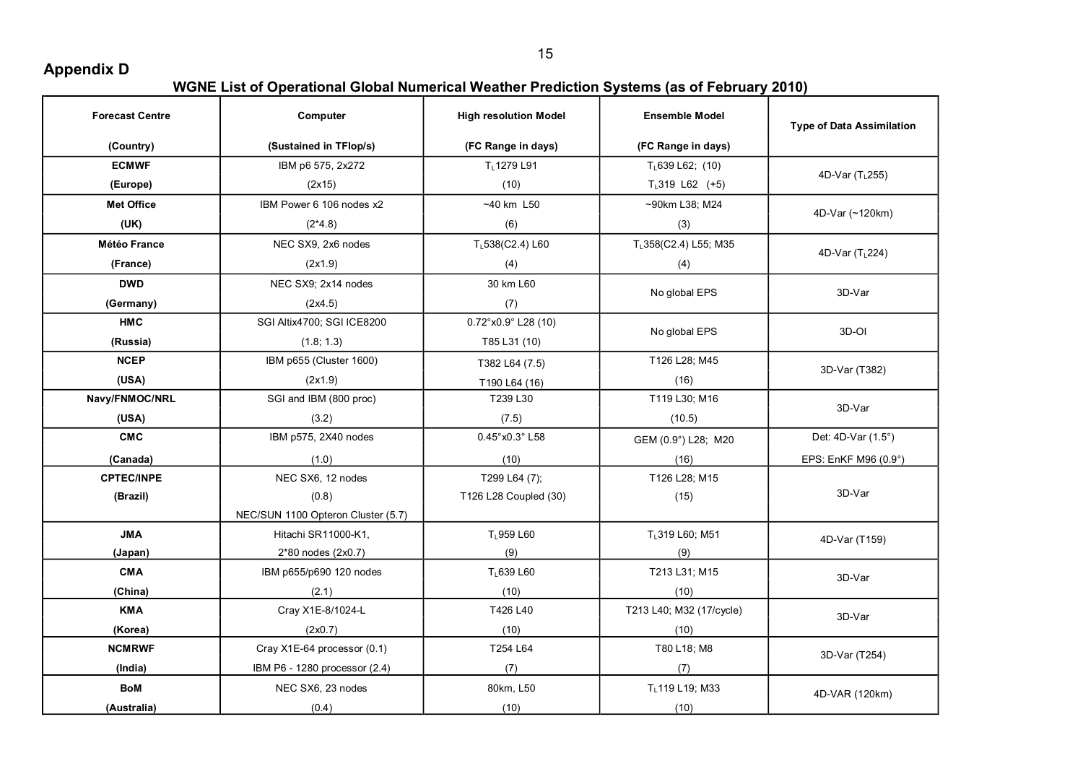**Appendix D** 

| <b>Forecast Centre</b> | Computer                           | <b>High resolution Model</b> | <b>Ensemble Model</b>    | <b>Type of Data Assimilation</b> |
|------------------------|------------------------------------|------------------------------|--------------------------|----------------------------------|
| (Country)              | (Sustained in TFlop/s)             | (FC Range in days)           | (FC Range in days)       |                                  |
| <b>ECMWF</b>           | IBM p6 575, 2x272                  | TL1279 L91                   | $T_{L}$ 639 L62; (10)    | 4D-Var (T <sub>1</sub> 255)      |
| (Europe)               | (2x15)                             | (10)                         | $T_{L}319$ L62 (+5)      |                                  |
| <b>Met Office</b>      | IBM Power 6 106 nodes x2           | $~10$ km L50                 | ~90km L38; M24           | 4D-Var (~120km)                  |
| (UK)                   | $(2*4.8)$                          | (6)                          | (3)                      |                                  |
| Météo France           | NEC SX9, 2x6 nodes                 | TL538(C2.4) L60              | TL358(C2.4) L55; M35     | 4D-Var (T <sub>L</sub> 224)      |
| (France)               | (2x1.9)                            | (4)                          | (4)                      |                                  |
| <b>DWD</b>             | NEC SX9; 2x14 nodes                | 30 km L60                    | No global EPS            | 3D-Var                           |
| (Germany)              | (2x4.5)                            | (7)                          |                          |                                  |
| <b>HMC</b>             | SGI Altix4700; SGI ICE8200         | 0.72°x0.9° L28 (10)          | No global EPS            | 3D-OI                            |
| (Russia)               | (1.8; 1.3)                         | T85 L31 (10)                 |                          |                                  |
| <b>NCEP</b>            | IBM p655 (Cluster 1600)            | T382 L64 (7.5)               | T126 L28; M45            | 3D-Var (T382)                    |
| (USA)                  | (2x1.9)                            | T190 L64 (16)                | (16)                     |                                  |
| Navy/FNMOC/NRL         | SGI and IBM (800 proc)             | T239 L30                     | T119 L30; M16            | 3D-Var                           |
| (USA)                  | (3.2)                              | (7.5)                        | (10.5)                   |                                  |
| <b>CMC</b>             | IBM p575, 2X40 nodes               | 0.45°x0.3°L58                | GEM (0.9°) L28; M20      | Det: 4D-Var (1.5°)               |
| (Canada)               | (1.0)                              | (10)                         | (16)                     | EPS: EnKF M96 (0.9°)             |
| <b>CPTEC/INPE</b>      | NEC SX6, 12 nodes                  | T299 L64 (7);                | T126 L28; M15            |                                  |
| (Brazil)               | (0.8)                              | T126 L28 Coupled (30)        | (15)                     | 3D-Var                           |
|                        | NEC/SUN 1100 Opteron Cluster (5.7) |                              |                          |                                  |
| <b>JMA</b>             | Hitachi SR11000-K1,                | TL959 L60                    | TL319 L60; M51           | 4D-Var (T159)                    |
| (Japan)                | 2*80 nodes (2x0.7)                 | (9)                          | (9)                      |                                  |
| <b>CMA</b>             | IBM p655/p690 120 nodes            | TL639 L60                    | T213 L31; M15            | 3D-Var                           |
| (China)                | (2.1)                              | (10)                         | (10)                     |                                  |
| <b>KMA</b>             | Cray X1E-8/1024-L                  | T426 L40                     | T213 L40; M32 (17/cycle) | 3D-Var                           |
| (Korea)                | (2x0.7)                            | (10)                         | (10)                     |                                  |
| <b>NCMRWF</b>          | Cray X1E-64 processor (0.1)        | T254 L64                     | T80 L18; M8              | 3D-Var (T254)                    |
| (India)                | IBM P6 - 1280 processor (2.4)      | (7)                          | (7)                      |                                  |
| <b>BoM</b>             | NEC SX6, 23 nodes                  | 80km, L50                    | TL119 L19; M33           | 4D-VAR (120km)                   |
| (Australia)            | (0.4)                              | (10)                         | (10)                     |                                  |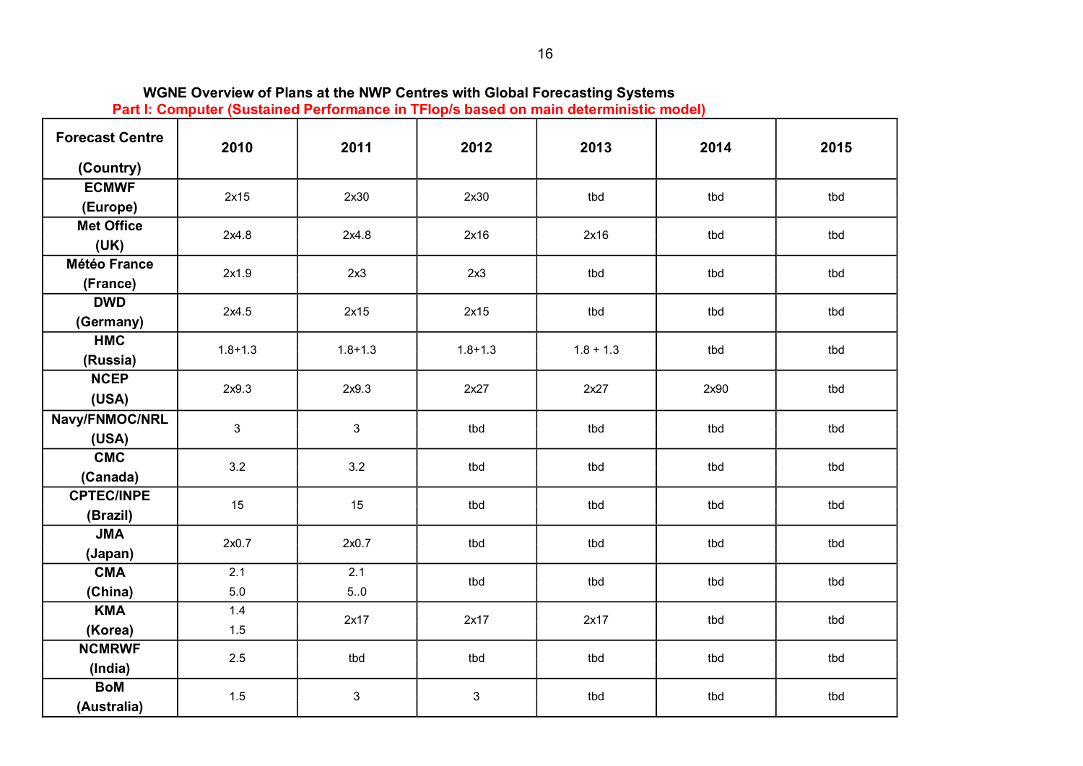| <b>Forecast Centre</b> | 2010        | 2011        | 2012        | 2013        | 2014 | 2015 |  |
|------------------------|-------------|-------------|-------------|-------------|------|------|--|
| (Country)              |             |             |             |             |      |      |  |
| <b>ECMWF</b>           | 2x15        | 2x30        | 2x30        | tbd         | tbd  | tbd  |  |
| (Europe)               |             |             |             |             |      |      |  |
| <b>Met Office</b>      | 2x4.8       | 2x4.8       | 2x16        | 2x16        | tbd  | tbd  |  |
| (UK)                   |             |             |             |             |      |      |  |
| <b>Météo France</b>    | 2x1.9       | 2x3         | 2x3         | tbd         | tbd  | tbd  |  |
| (France)               |             |             |             |             |      |      |  |
| <b>DWD</b>             | 2x4.5       | 2x15        | 2x15        | tbd         | tbd  | tbd  |  |
| (Germany)              |             |             |             |             |      |      |  |
| <b>HMC</b>             | $1.8 + 1.3$ | $1.8 + 1.3$ | $1.8 + 1.3$ | $1.8 + 1.3$ | tbd  | tbd  |  |
| (Russia)               |             |             |             |             |      |      |  |
| <b>NCEP</b>            | 2x9.3       | 2x9.3       | 2x27        | 2x27        | 2x90 | tbd  |  |
| (USA)                  |             |             |             |             |      |      |  |
| Navy/FNMOC/NRL         | 3           | 3           | tbd         | tbd         | tbd  | tbd  |  |
| (USA)                  |             |             |             |             |      |      |  |
| <b>CMC</b>             | 3.2         | 3.2         | tbd         | tbd         | tbd  | tbd  |  |
| (Canada)               |             |             |             |             |      |      |  |
| <b>CPTEC/INPE</b>      | 15          | 15          | tbd         | tbd         | tbd  | tbd  |  |
| (Brazil)               |             |             |             |             |      |      |  |
| <b>JMA</b>             | 2x0.7       | 2x0.7       | tbd         | tbd         | tbd  | tbd  |  |
| (Japan)                |             |             |             |             |      |      |  |
| <b>CMA</b>             | 2.1         | 2.1         | tbd         | tbd         | tbd  | tbd  |  |
| (China)                | 5.0         | 5.0         |             |             |      |      |  |
| <b>KMA</b>             | 1.4         | 2x17        | 2x17        | 2x17        | tbd  | tbd  |  |
| (Korea)                | 1.5         |             |             |             |      |      |  |
| <b>NCMRWF</b>          | 2.5         | tbd         | tbd         | tbd         | tbd  | tbd  |  |
| (India)                |             |             |             |             |      |      |  |
| <b>BoM</b>             | 1.5         | 3           | 3           | tbd         | tbd  | tbd  |  |
| (Australia)            |             |             |             |             |      |      |  |

**WGNE Overview of Plans at the NWP Centres with Global Forecasting Systems**

**Part I: Computer (Sustained Performance in TFlop/s based on main deterministic model)**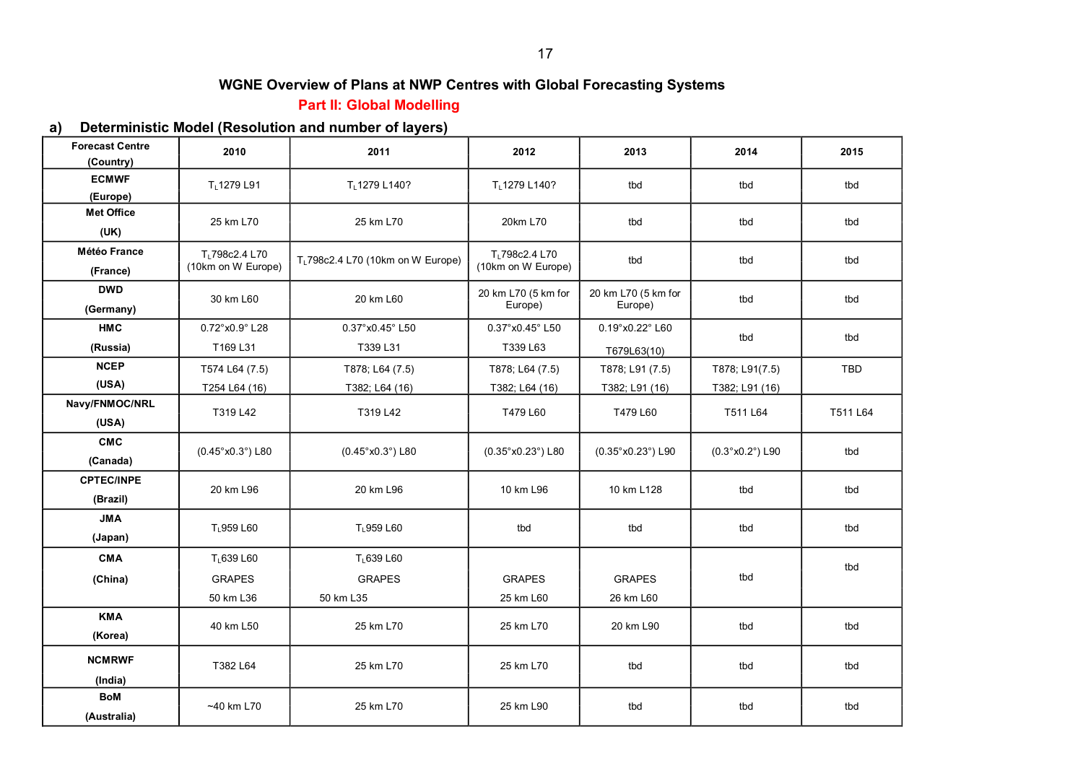## **Part II: Global Modelling**

#### **a) Deterministic Model (Resolution and number of layers)**

| <b>Forecast Centre</b><br>(Country) | 2010                                             | 2011                                                 | 2012                                             | 2013                                               | 2014                             | 2015       |
|-------------------------------------|--------------------------------------------------|------------------------------------------------------|--------------------------------------------------|----------------------------------------------------|----------------------------------|------------|
| <b>ECMWF</b><br>(Europe)            | TL1279 L91                                       | TL1279 L140?                                         | TL1279 L140?                                     | tbd                                                | tbd                              | tbd        |
| <b>Met Office</b><br>(UK)           | 25 km L70                                        | 25 km L70                                            | 20km L70                                         | tbd                                                | tbd                              | tbd        |
| <b>Météo France</b><br>(France)     | T <sub>1</sub> 798c2.4 L70<br>(10km on W Europe) | T <sub>L</sub> 798c2.4 L70 (10km on W Europe)        | T <sub>L</sub> 798c2.4 L70<br>(10km on W Europe) | tbd                                                | tbd                              | tbd        |
| <b>DWD</b><br>(Germany)             | 30 km L60                                        | 20 km L60                                            | 20 km L70 (5 km for<br>Europe)                   | 20 km L70 (5 km for<br>Europe)                     | tbd                              | tbd        |
| <b>HMC</b><br>(Russia)              | 0.72°x0.9°L28<br>T169 L31                        | 0.37° x0.45° L50<br>T339 L31                         | $0.37^{\circ}$ x $0.45^{\circ}$ L50<br>T339 L63  | $0.19^{\circ}$ x $0.22^{\circ}$ L60<br>T679L63(10) | tbd                              | tbd        |
| <b>NCEP</b><br>(USA)                | T574 L64 (7.5)<br>T254 L64 (16)                  | T878; L64 (7.5)<br>T382; L64 (16)                    | T878; L64 (7.5)<br>T382; L64 (16)                | T878; L91 (7.5)<br>T382; L91 (16)                  | T878; L91(7.5)<br>T382; L91 (16) | <b>TBD</b> |
| Navy/FNMOC/NRL<br>(USA)             | T319 L42                                         | T319 L42                                             | T479 L60                                         | T479 L60                                           | T511 L64                         | T511 L64   |
| <b>CMC</b><br>(Canada)              | $(0.45^{\circ} \text{x} 0.3^{\circ})$ L80        | $(0.45^{\circ} \text{x} 0.3^{\circ})$ L80            | (0.35°x0.23°) L80                                | (0.35°x0.23°) L90                                  | (0.3°x0.2°) L90                  | tbd        |
| <b>CPTEC/INPE</b><br>(Brazil)       | 20 km L96                                        | 20 km L96                                            | 10 km L96                                        | 10 km L128                                         | tbd                              | tbd        |
| <b>JMA</b><br>(Japan)               | TL959 L60                                        | T <sub>L</sub> 959 L60                               | tbd                                              | tbd                                                | tbd                              | tbd        |
| <b>CMA</b><br>(China)               | TL639 L60<br><b>GRAPES</b><br>50 km L36          | T <sub>L</sub> 639 L60<br><b>GRAPES</b><br>50 km L35 | <b>GRAPES</b><br>25 km L60                       | <b>GRAPES</b><br>26 km L60                         | tbd                              | tbd        |
| <b>KMA</b><br>(Korea)               | 40 km L50                                        | 25 km L70                                            | 25 km L70                                        | 20 km L90                                          | tbd                              | tbd        |
| <b>NCMRWF</b><br>(India)            | T382 L64                                         | 25 km L70                                            | 25 km L70                                        | tbd                                                | tbd                              | tbd        |
| <b>BoM</b><br>(Australia)           | $~10$ km L70                                     | 25 km L70                                            | 25 km L90                                        | tbd                                                | tbd                              | tbd        |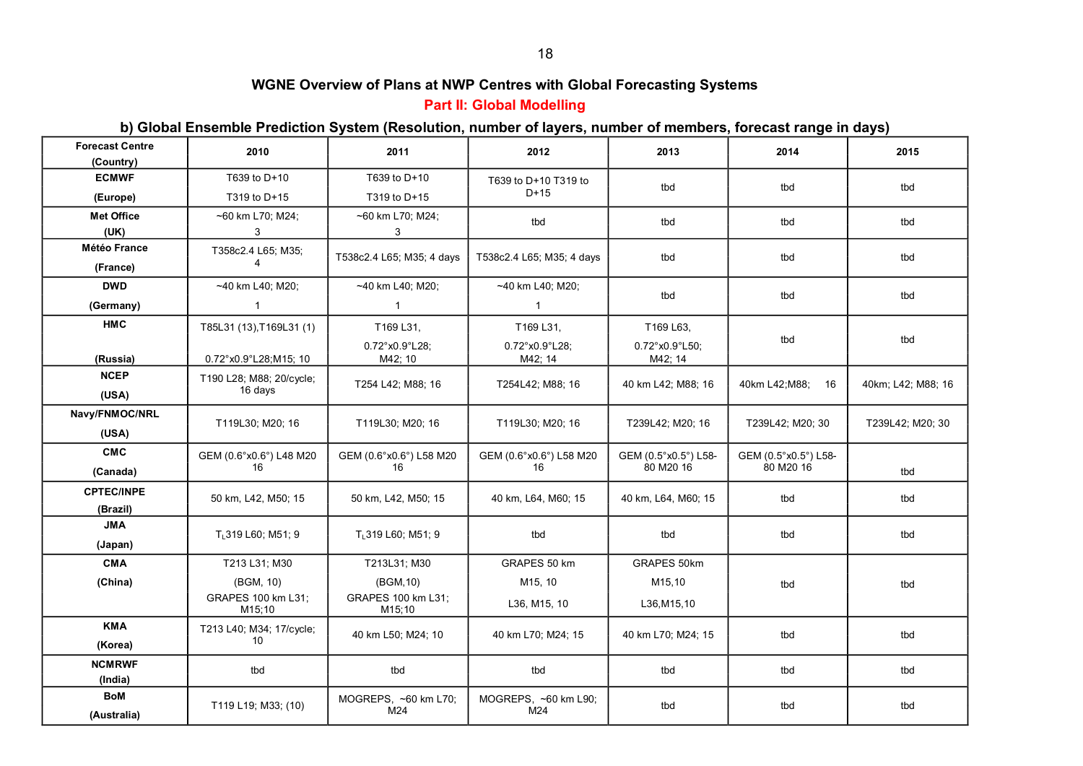# **Part II: Global Modelling**

#### **b) Global Ensemble Prediction System (Resolution, number of layers, number of members, forecast range in days)**

| <b>Forecast Centre</b><br>(Country) | 2010                           | 2011                                | 2012                      | 2013                                | 2014                 | 2015               |
|-------------------------------------|--------------------------------|-------------------------------------|---------------------------|-------------------------------------|----------------------|--------------------|
| <b>ECMWF</b>                        | T639 to D+10                   | T639 to D+10                        | T639 to D+10 T319 to      |                                     |                      |                    |
| (Europe)                            | T319 to D+15                   | T319 to D+15                        | $D+15$                    | tbd                                 | tbd                  | tbd                |
| <b>Met Office</b>                   | ~60 km L70; M24;               | ~60 km L70; M24;                    | tbd                       | tbd                                 | tbd                  | tbd                |
| (UK)                                | 3                              | 3                                   |                           |                                     |                      |                    |
| <b>Météo France</b>                 | T358c2.4 L65; M35;             | T538c2.4 L65; M35; 4 days           | T538c2.4 L65; M35; 4 days | tbd                                 | tbd                  | tbd                |
| (France)                            | $\overline{4}$                 |                                     |                           |                                     |                      |                    |
| <b>DWD</b>                          | ~40 km L40; M20;               | $~140$ km L40; M20;                 | ~40 km L40; M20;          | tbd                                 | tbd                  | tbd                |
| (Germany)                           | $\mathbf{1}$                   | $\mathbf{1}$                        | $\mathbf{1}$              |                                     |                      |                    |
| <b>HMC</b>                          | T85L31 (13), T169L31 (1)       | T169 L31,                           | T169 L31,                 | T169 L63,                           |                      |                    |
|                                     |                                | $0.72^{\circ}$ x $0.9^{\circ}$ L28; | 0.72°x0.9°L28;            | $0.72^{\circ}$ x $0.9^{\circ}$ L50; | tbd                  | tbd                |
| (Russia)                            | 0.72°x0.9°L28;M15; 10          | M42; 10                             | M42; 14                   | M42; 14                             |                      |                    |
| <b>NCEP</b>                         | T190 L28; M88; 20/cycle;       | T254 L42; M88; 16                   | T254L42; M88; 16          | 40 km L42; M88; 16                  | 40km L42; M88;<br>16 | 40km; L42; M88; 16 |
| (USA)                               | 16 days                        |                                     |                           |                                     |                      |                    |
| Navy/FNMOC/NRL                      | T119L30; M20; 16               | T119L30; M20; 16                    | T119L30; M20; 16          | T239L42; M20; 16                    | T239L42; M20; 30     | T239L42; M20; 30   |
| (USA)                               |                                |                                     |                           |                                     |                      |                    |
| <b>CMC</b>                          | GEM (0.6°x0.6°) L48 M20        | GEM (0.6°x0.6°) L58 M20             | GEM (0.6°x0.6°) L58 M20   | GEM (0.5°x0.5°) L58-                | GEM (0.5°x0.5°) L58- |                    |
| (Canada)                            | 16                             | 16                                  | 16                        | 80 M20 16                           | 80 M20 16            | tbd                |
| <b>CPTEC/INPE</b>                   | 50 km, L42, M50; 15            | 50 km, L42, M50; 15                 | 40 km, L64, M60; 15       | 40 km, L64, M60; 15                 | tbd                  | tbd                |
| (Brazil)                            |                                |                                     |                           |                                     |                      |                    |
| <b>JMA</b>                          | T <sub>1</sub> 319 L60; M51; 9 | T <sub>1</sub> 319 L60; M51; 9      | tbd                       | tbd                                 | tbd                  | tbd                |
| (Japan)                             |                                |                                     |                           |                                     |                      |                    |
| <b>CMA</b>                          | T213 L31; M30                  | T213L31; M30                        | GRAPES 50 km              | GRAPES 50km                         |                      |                    |
| (China)                             | (BGM, 10)                      | (BGM, 10)                           | M15, 10                   | M15,10                              | tbd                  | tbd                |
|                                     | GRAPES 100 km L31;<br>M15;10   | GRAPES 100 km L31;<br>M15;10        | L36, M15, 10              | L36, M15, 10                        |                      |                    |
| <b>KMA</b>                          | T213 L40; M34; 17/cycle;       |                                     |                           |                                     |                      |                    |
| (Korea)                             | 10                             | 40 km L50; M24; 10                  | 40 km L70; M24; 15        | 40 km L70; M24; 15                  | tbd                  | tbd                |
| <b>NCMRWF</b>                       | tbd                            | tbd                                 | tbd                       | tbd                                 | tbd                  | tbd                |
| (India)                             |                                |                                     |                           |                                     |                      |                    |
| BoM                                 | T119 L19; M33; (10)            | MOGREPS, ~60 km L70;                | MOGREPS, ~60 km L90;      | tbd                                 | tbd                  | tbd                |
| (Australia)                         |                                | M24                                 | M24                       |                                     |                      |                    |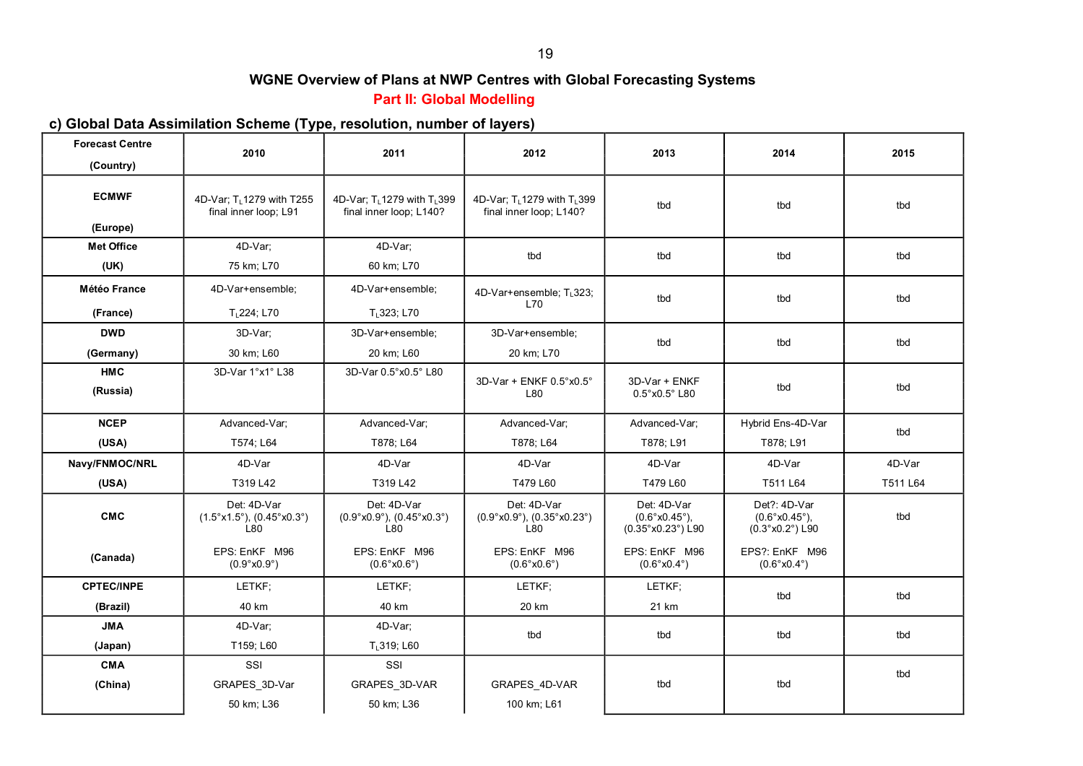# **Part II: Global Modelling**

# **c) Global Data Assimilation Scheme (Type, resolution, number of layers)**

| <b>Forecast Centre</b>   | 2010                                                                                            | 2011                                                                           | 2012                                                                           | 2013                                                                      | 2014                                                                                            | 2015     |
|--------------------------|-------------------------------------------------------------------------------------------------|--------------------------------------------------------------------------------|--------------------------------------------------------------------------------|---------------------------------------------------------------------------|-------------------------------------------------------------------------------------------------|----------|
| (Country)                |                                                                                                 |                                                                                |                                                                                |                                                                           |                                                                                                 |          |
| <b>ECMWF</b><br>(Europe) | 4D-Var; T <sub>1</sub> 1279 with T255<br>final inner loop; L91                                  | 4D-Var; T <sub>1</sub> 1279 with T <sub>1</sub> 399<br>final inner loop; L140? | 4D-Var; T <sub>1</sub> 1279 with T <sub>1</sub> 399<br>final inner loop; L140? | tbd                                                                       | tbd                                                                                             | tbd      |
| <b>Met Office</b>        | 4D-Var;                                                                                         | 4D-Var;                                                                        |                                                                                |                                                                           |                                                                                                 |          |
|                          |                                                                                                 |                                                                                | tbd                                                                            | tbd                                                                       | tbd                                                                                             | tbd      |
| (UK)                     | 75 km; L70                                                                                      | 60 km; L70                                                                     |                                                                                |                                                                           |                                                                                                 |          |
| <b>Météo France</b>      | 4D-Var+ensemble;                                                                                | 4D-Var+ensemble;                                                               | 4D-Var+ensemble; T <sub>L</sub> 323;<br>L70                                    | tbd                                                                       | tbd                                                                                             | tbd      |
| (France)                 | $T1224$ ; L70                                                                                   | T <sub>1</sub> 323; L70                                                        |                                                                                |                                                                           |                                                                                                 |          |
| <b>DWD</b>               | 3D-Var;                                                                                         | 3D-Var+ensemble;                                                               | 3D-Var+ensemble;                                                               | tbd                                                                       | tbd                                                                                             | tbd      |
| (Germany)                | 30 km; L60                                                                                      | 20 km; L60                                                                     | 20 km; L70                                                                     |                                                                           |                                                                                                 |          |
| <b>HMC</b>               | 3D-Var 1°x1° L38                                                                                | 3D-Var 0.5° x0.5° L80                                                          | 3D-Var + ENKF 0.5°x0.5°                                                        | 3D-Var + ENKF                                                             |                                                                                                 |          |
| (Russia)                 |                                                                                                 |                                                                                | L80                                                                            | $0.5^\circ$ x $0.5^\circ$ L80                                             | tbd                                                                                             | tbd      |
| <b>NCEP</b>              | Advanced-Var:                                                                                   | Advanced-Var:                                                                  | Advanced-Var:                                                                  | Advanced-Var:                                                             | Hybrid Ens-4D-Var                                                                               | tbd      |
| (USA)                    | T574; L64                                                                                       | T878; L64                                                                      | T878; L64                                                                      | T878; L91                                                                 | T878; L91                                                                                       |          |
| Navy/FNMOC/NRL           | 4D-Var                                                                                          | 4D-Var                                                                         | 4D-Var                                                                         | 4D-Var                                                                    | 4D-Var                                                                                          | 4D-Var   |
| (USA)                    | T319 L42                                                                                        | T319 L42                                                                       | T479 L60                                                                       | T479 L60                                                                  | T511 L64                                                                                        | T511 L64 |
| <b>CMC</b>               | Det: 4D-Var<br>$(1.5^{\circ} \text{x} 1.5^{\circ}), (0.45^{\circ} \text{x} 0.3^{\circ})$<br>L80 | Det: 4D-Var<br>$(0.9°x0.9°)$ , $(0.45°x0.3°)$<br>L80                           | Det: 4D-Var<br>$(0.9°x0.9°)$ , $(0.35°x0.23°)$<br>L80                          | Det: 4D-Var<br>$(0.6^{\circ} \times 0.45^{\circ})$ ,<br>(0.35°x0.23°) L90 | Det?: 4D-Var<br>$(0.6^{\circ} \times 0.45^{\circ})$ ,<br>$(0.3^{\circ} \times 0.2^{\circ})$ L90 | tbd      |
| (Canada)                 | EPS: EnKF M96<br>(0.9°x0.9°)                                                                    | EPS: EnKF M96<br>$(0.6^{\circ} \times 0.6^{\circ})$                            | EPS: EnKF M96<br>(0.6°x0.6°)                                                   | EPS: EnKF M96<br>$(0.6^{\circ} \times 0.4^{\circ})$                       | EPS?: EnKF M96<br>$(0.6^{\circ} \times 0.4^{\circ})$                                            |          |
| <b>CPTEC/INPE</b>        | LETKF:                                                                                          | LETKF:                                                                         | LETKF:                                                                         | LETKF:                                                                    | tbd                                                                                             | tbd      |
| (Brazil)                 | 40 km                                                                                           | 40 km                                                                          | 20 km                                                                          | 21 km                                                                     |                                                                                                 |          |
| <b>JMA</b>               | 4D-Var;                                                                                         | 4D-Var;                                                                        | tbd                                                                            | tbd                                                                       | tbd                                                                                             | tbd      |
| (Japan)                  | T159; L60                                                                                       | TL319; L60                                                                     |                                                                                |                                                                           |                                                                                                 |          |
| <b>CMA</b>               | SSI                                                                                             | SSI                                                                            |                                                                                |                                                                           |                                                                                                 |          |
| (China)                  | GRAPES_3D-Var                                                                                   | GRAPES_3D-VAR                                                                  | GRAPES_4D-VAR                                                                  | tbd                                                                       | tbd                                                                                             | tbd      |
|                          | 50 km; L36                                                                                      | 50 km; L36                                                                     | 100 km; L61                                                                    |                                                                           |                                                                                                 |          |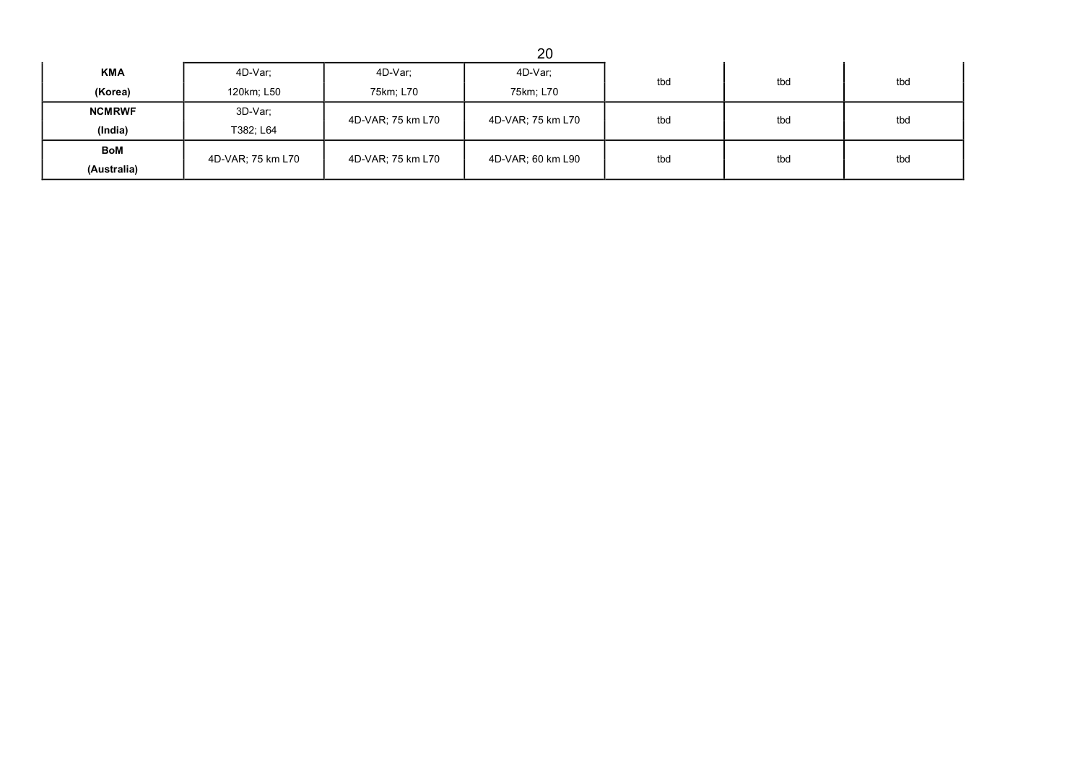|               |                   |                   | 20                |     |     |     |
|---------------|-------------------|-------------------|-------------------|-----|-----|-----|
| <b>KMA</b>    | 4D-Var:           | 4D-Var;           | 4D-Var;           | tbd | tbd | tbd |
| (Korea)       | 120km; L50        | 75km; L70         | 75km; L70         |     |     |     |
| <b>NCMRWF</b> | 3D-Var;           | 4D-VAR; 75 km L70 | 4D-VAR; 75 km L70 | tbd | tbd | tbd |
| (India)       | T382; L64         |                   |                   |     |     |     |
| BoM           | 4D-VAR; 75 km L70 | 4D-VAR; 75 km L70 | 4D-VAR; 60 km L90 | tbd | tbd | tbd |
| (Australia)   |                   |                   |                   |     |     |     |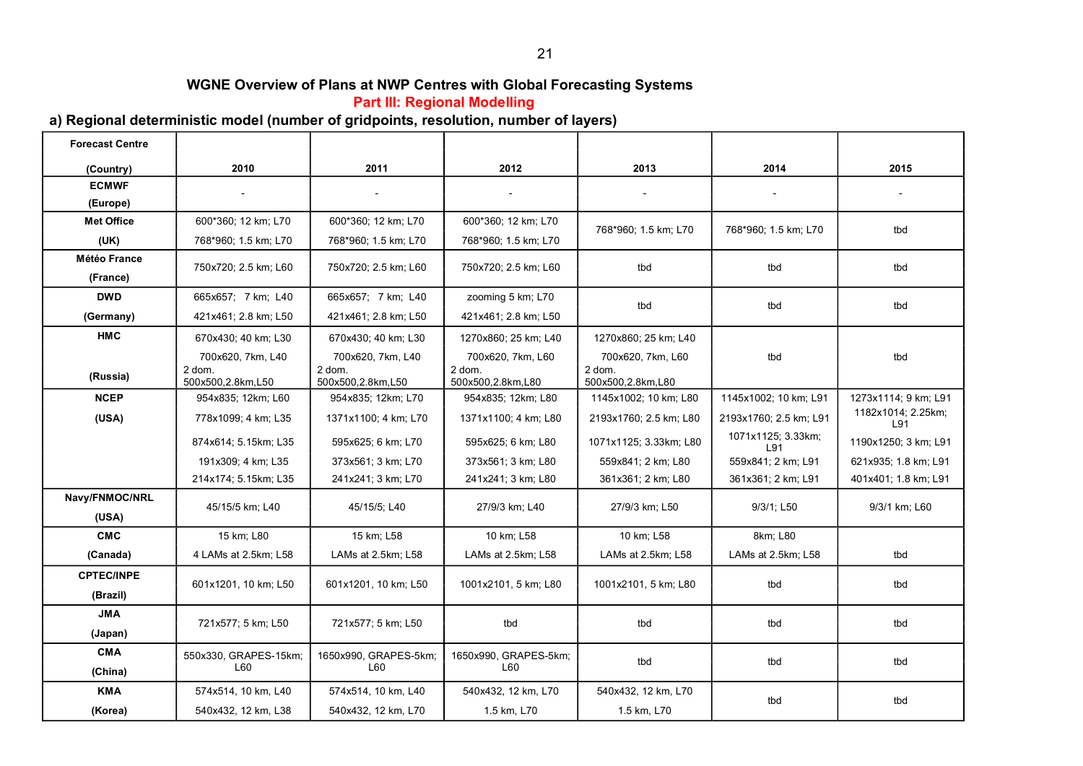**Part III: Regional Modelling** 

## **a) Regional deterministic model (number of gridpoints, resolution, number of layers)**

| <b>Forecast Centre</b> |                                                  |                                                  |                                                    |                                                  |                           |                           |
|------------------------|--------------------------------------------------|--------------------------------------------------|----------------------------------------------------|--------------------------------------------------|---------------------------|---------------------------|
| (Country)              | 2010                                             | 2011                                             | 2012                                               | 2013                                             | 2014                      | 2015                      |
| <b>ECMWF</b>           |                                                  |                                                  |                                                    |                                                  |                           |                           |
| (Europe)               |                                                  |                                                  |                                                    |                                                  |                           |                           |
| <b>Met Office</b>      | 600*360; 12 km; L70                              | 600*360; 12 km; L70                              | 600*360; 12 km; L70                                | 768*960; 1.5 km; L70                             | 768*960; 1.5 km; L70      | tbd                       |
| (UK)                   | 768*960; 1.5 km; L70                             | 768*960; 1.5 km; L70                             | 768*960; 1.5 km; L70                               |                                                  |                           |                           |
| <b>Météo France</b>    | 750x720; 2.5 km; L60                             | 750x720; 2.5 km; L60                             | 750x720; 2.5 km; L60                               | tbd                                              | tbd                       | tbd                       |
| (France)               |                                                  |                                                  |                                                    |                                                  |                           |                           |
| <b>DWD</b>             | 665x657; 7 km; L40                               | 665x657; 7 km; L40                               | zooming 5 km; L70                                  | tbd                                              | tbd                       | tbd                       |
| (Germany)              | 421x461; 2.8 km; L50                             | 421x461; 2.8 km; L50                             | 421x461; 2.8 km; L50                               |                                                  |                           |                           |
| <b>HMC</b>             | 670x430; 40 km; L30                              | 670x430; 40 km; L30                              | 1270x860; 25 km; L40                               | 1270x860; 25 km; L40                             |                           |                           |
| (Russia)               | 700x620, 7km, L40<br>2 dom.<br>500x500,2.8km,L50 | 700x620, 7km, L40<br>2 dom.<br>500x500,2.8km,L50 | 700x620, 7km, L60<br>$2$ dom.<br>500x500,2.8km,L80 | 700x620, 7km, L60<br>2 dom.<br>500x500,2.8km,L80 | tbd                       | tbd                       |
| <b>NCEP</b>            | 954x835; 12km; L60                               | 954x835; 12km; L70                               | 954x835; 12km; L80                                 | 1145x1002; 10 km; L80                            | 1145x1002; 10 km; L91     | 1273x1114; 9 km; L91      |
| (USA)                  | 778x1099; 4 km; L35                              | 1371x1100; 4 km; L70                             | 1371x1100; 4 km; L80                               | 2193x1760; 2.5 km; L80                           | 2193x1760; 2.5 km; L91    | 1182x1014; 2.25km;<br>L91 |
|                        | 874x614; 5.15km; L35                             | 595x625; 6 km; L70                               | 595x625; 6 km; L80                                 | 1071x1125; 3.33km; L80                           | 1071x1125; 3.33km;<br>L91 | 1190x1250; 3 km; L91      |
|                        | 191x309; 4 km; L35                               | 373x561; 3 km; L70                               | 373x561; 3 km; L80                                 | 559x841; 2 km; L80                               | 559x841; 2 km; L91        | 621x935; 1.8 km; L91      |
|                        | 214x174; 5.15km; L35                             | 241x241; 3 km; L70                               | 241x241; 3 km; L80                                 | 361x361; 2 km; L80                               | 361x361; 2 km; L91        | 401x401; 1.8 km; L91      |
| Navy/FNMOC/NRL         | 45/15/5 km; L40                                  | 45/15/5; L40                                     | 27/9/3 km; L40                                     | 27/9/3 km; L50                                   | 9/3/1; L50                | 9/3/1 km; L60             |
| (USA)                  |                                                  |                                                  |                                                    |                                                  |                           |                           |
| <b>CMC</b>             | 15 km; L80                                       | 15 km; L58                                       | 10 km; L58                                         | 10 km; L58                                       | 8km; L80                  |                           |
| (Canada)               | 4 LAMs at 2.5km; L58                             | LAMs at 2.5km; L58                               | LAMs at 2.5km; L58                                 | LAMs at 2.5km; L58                               | LAMs at 2.5km; L58        | tbd                       |
| <b>CPTEC/INPE</b>      | 601x1201, 10 km; L50                             | 601x1201, 10 km; L50                             | 1001x2101, 5 km; L80                               | 1001x2101, 5 km; L80                             | tbd                       | tbd                       |
| (Brazil)               |                                                  |                                                  |                                                    |                                                  |                           |                           |
| <b>JMA</b>             |                                                  |                                                  |                                                    |                                                  |                           |                           |
| (Japan)                | 721x577; 5 km; L50                               | 721x577; 5 km; L50                               | tbd                                                | tbd                                              | tbd                       | tbd                       |
| <b>CMA</b><br>(China)  | 550x330, GRAPES-15km;<br>L60                     | 1650x990, GRAPES-5km;<br>L60                     | 1650x990, GRAPES-5km;<br>L60                       | tbd                                              | tbd                       | tbd                       |
| <b>KMA</b>             | 574x514, 10 km, L40                              | 574x514, 10 km, L40                              | 540x432, 12 km, L70                                | 540x432, 12 km, L70                              |                           |                           |
| (Korea)                | 540x432, 12 km, L38                              | 540x432, 12 km, L70                              | 1.5 km, L70                                        | 1.5 km, L70                                      | tbd                       | tbd                       |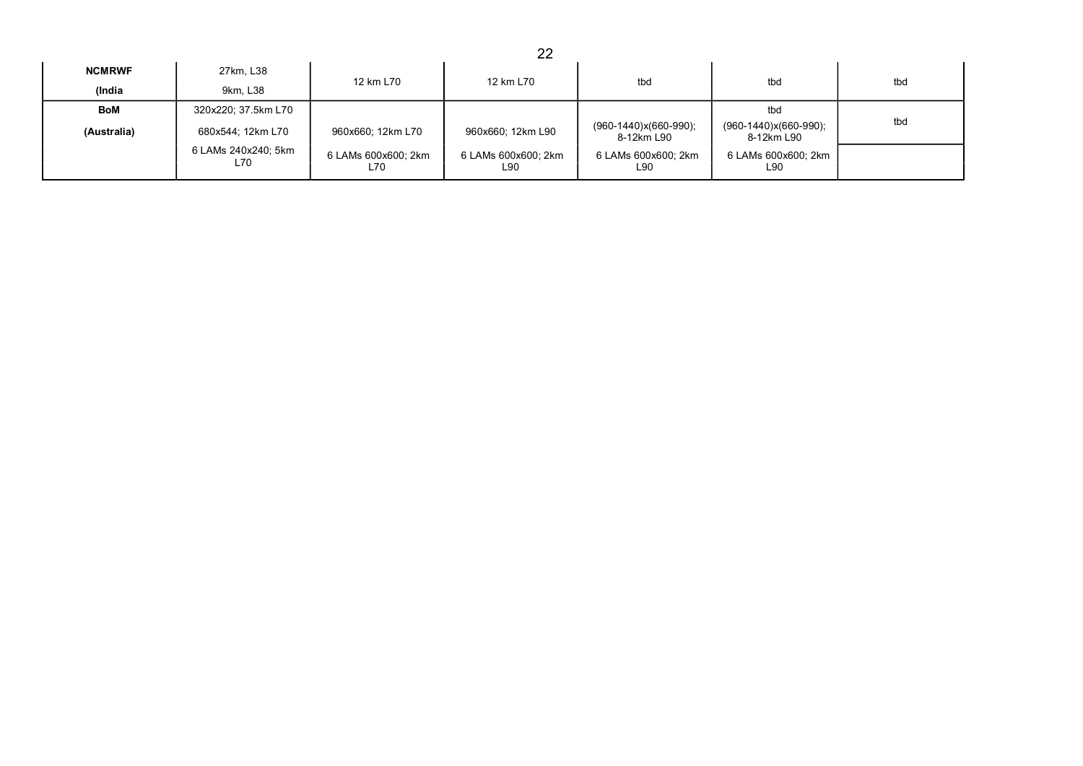|               |                            |                            | 22                         |                                       |                                     |     |
|---------------|----------------------------|----------------------------|----------------------------|---------------------------------------|-------------------------------------|-----|
| <b>NCMRWF</b> | 27km, L38                  | 12 km L70                  | 12 km L70                  | tbd                                   | tbd                                 | tbd |
| (India        | 9km, L38                   |                            |                            |                                       |                                     |     |
| <b>BoM</b>    | 320x220; 37.5km L70        |                            |                            |                                       | tbd                                 |     |
| (Australia)   | 680x544; 12km L70          | 960x660; 12km L70          | 960x660; 12km L90          | $(960-1440)x(660-990);$<br>8-12km L90 | (960-1440)x(660-990);<br>8-12km L90 | tbd |
|               | 6 LAMs 240x240; 5km<br>L70 | 6 LAMs 600x600; 2km<br>L70 | 6 LAMs 600x600; 2km<br>L90 | 6 LAMs 600x600; 2km<br>L90            | 6 LAMs 600x600; 2km<br>L90          |     |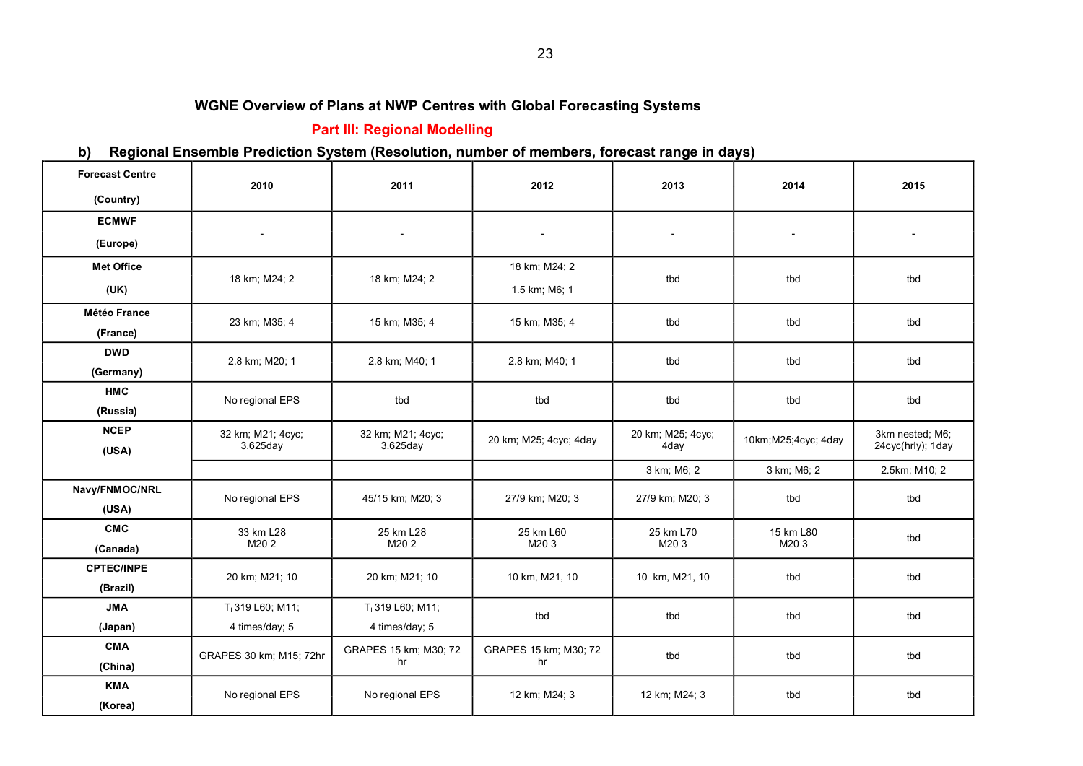# **Part III: Regional Modelling**

# **b) Regional Ensemble Prediction System (Resolution, number of members, forecast range in days)**

| <b>Forecast Centre</b> | 2010                    | 2011                  | 2012                     | 2013                     | 2014                     | 2015              |
|------------------------|-------------------------|-----------------------|--------------------------|--------------------------|--------------------------|-------------------|
| (Country)              |                         |                       |                          |                          |                          |                   |
| <b>ECMWF</b>           |                         |                       |                          |                          |                          |                   |
| (Europe)               |                         | $\blacksquare$        | $\overline{\phantom{a}}$ | $\overline{\phantom{a}}$ | $\overline{\phantom{a}}$ |                   |
| <b>Met Office</b>      |                         |                       | 18 km; M24; 2            |                          |                          |                   |
| (UK)                   | 18 km; M24; 2           | 18 km; M24; 2         | 1.5 km; M6; 1            | tbd                      | tbd                      | tbd               |
| <b>Météo France</b>    | 23 km; M35; 4           | 15 km; M35; 4         | 15 km; M35; 4            | tbd                      | tbd                      | tbd               |
| (France)               |                         |                       |                          |                          |                          |                   |
| <b>DWD</b>             | 2.8 km; M20; 1          | 2.8 km; M40; 1        | 2.8 km; M40; 1           | tbd                      | tbd                      | tbd               |
| (Germany)              |                         |                       |                          |                          |                          |                   |
| <b>HMC</b>             | No regional EPS         | tbd                   | tbd                      | tbd                      | tbd                      | tbd               |
| (Russia)               |                         |                       |                          |                          |                          |                   |
| <b>NCEP</b>            | 32 km; M21; 4cyc;       | 32 km; M21; 4cyc;     | 20 km; M25; 4cyc; 4day   | 20 km; M25; 4cyc;        | 10km; M25; 4cyc; 4day    | 3km nested; M6;   |
| (USA)                  | $3.625$ day             | 3.625day              |                          | 4day                     |                          | 24cyc(hrly); 1day |
|                        |                         |                       |                          | 3 km; M6; 2              | 3 km; M6; 2              | 2.5km; M10; 2     |
| Navy/FNMOC/NRL         | No regional EPS         | 45/15 km; M20; 3      | 27/9 km; M20; 3          | 27/9 km; M20; 3          | tbd                      | tbd               |
| (USA)                  |                         |                       |                          |                          |                          |                   |
| <b>CMC</b>             | 33 km L28               | 25 km L28             | 25 km L60                | 25 km L70                | 15 km L80                | tbd               |
| (Canada)               | M202                    | M202                  | M203                     | M203                     | M203                     |                   |
| <b>CPTEC/INPE</b>      | 20 km; M21; 10          | 20 km; M21; 10        | 10 km, M21, 10           | 10 km, M21, 10           | tbd                      | tbd               |
| (Brazil)               |                         |                       |                          |                          |                          |                   |
| <b>JMA</b>             | TL319 L60; M11;         | TL319 L60; M11;       | tbd                      | tbd                      | tbd                      | tbd               |
| (Japan)                | 4 times/day; 5          | 4 times/day; 5        |                          |                          |                          |                   |
| <b>CMA</b>             |                         | GRAPES 15 km; M30; 72 | GRAPES 15 km; M30; 72    | tbd                      | tbd                      | tbd               |
| (China)                | GRAPES 30 km; M15; 72hr | hr                    | hr                       |                          |                          |                   |
| <b>KMA</b>             | No regional EPS         | No regional EPS       | 12 km; M24; 3            | 12 km; M24; 3            | tbd                      | tbd               |
| (Korea)                |                         |                       |                          |                          |                          |                   |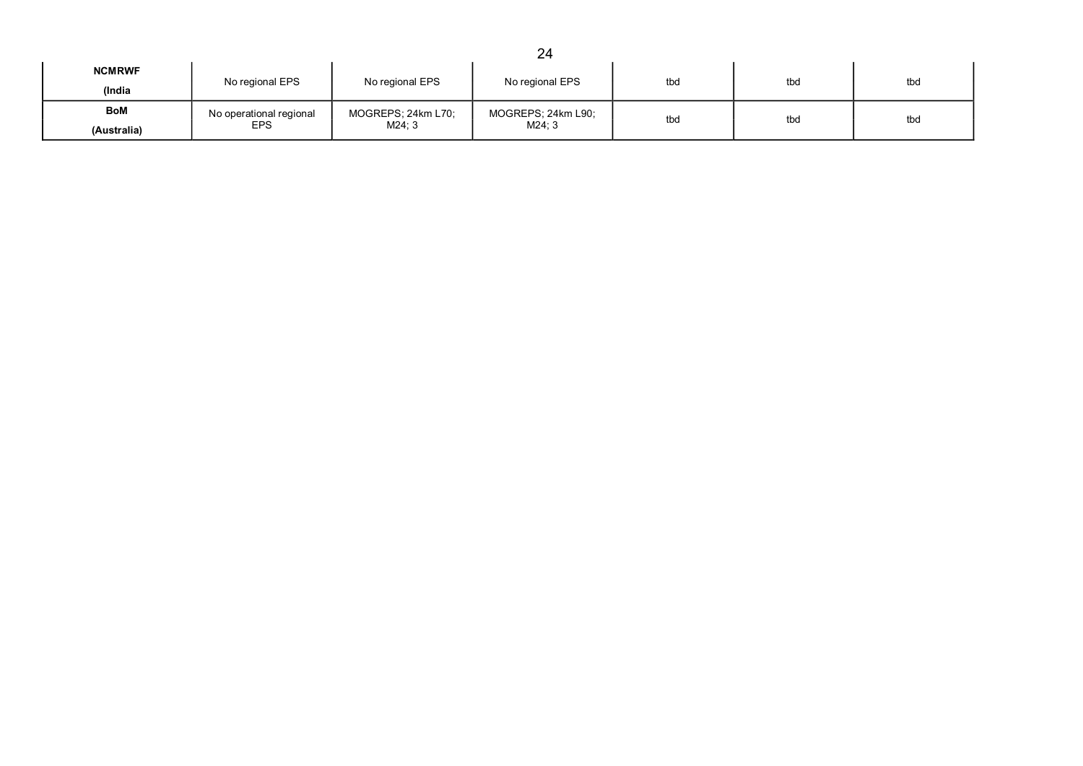|                         |                                       |                              | 24                          |     |     |     |
|-------------------------|---------------------------------------|------------------------------|-----------------------------|-----|-----|-----|
| <b>NCMRWF</b><br>(India | No regional EPS                       | No regional EPS              | No regional EPS             | tbd | tbd | tbd |
| BoM<br>(Australia)      | No operational regional<br><b>EPS</b> | MOGREPS; 24km L70;<br>M24; 3 | MOGREPS; 24km L90;<br>M24:3 | tbd | tbd | tbd |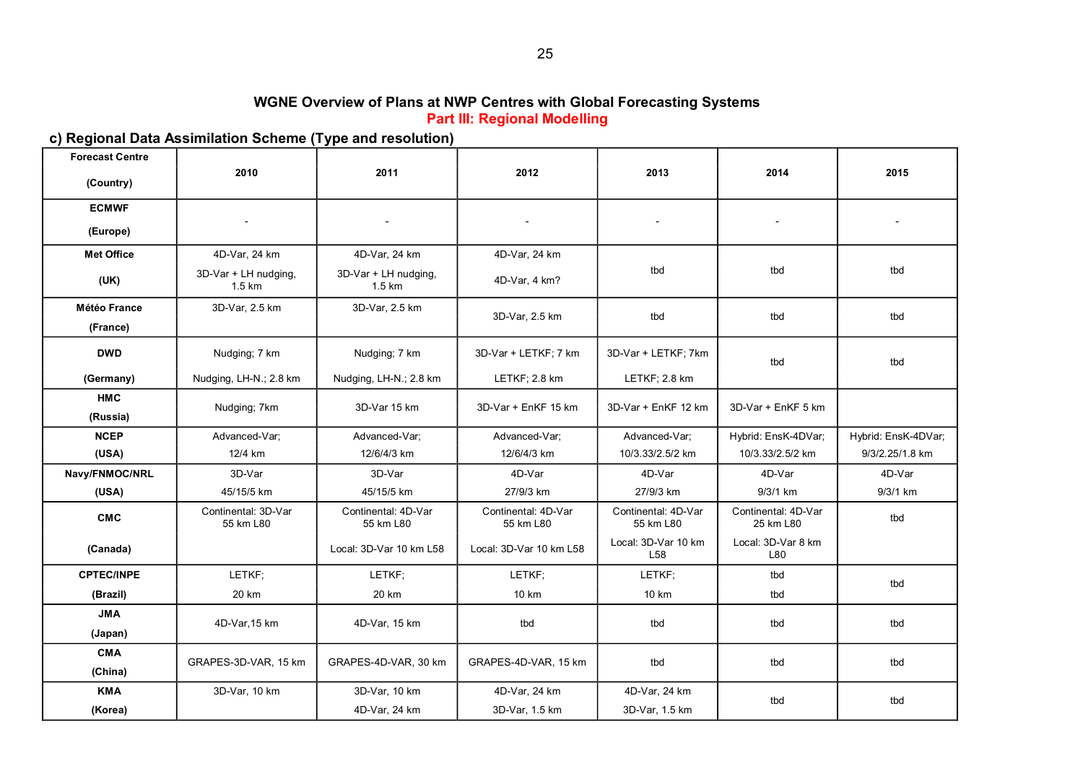#### **WGNE Overview of Plans at NWP Centres with Global Forecasting Systems Part III: Regional Modelling**

# **c) Regional Data Assimilation Scheme (Type and resolution)**

| <b>Forecast Centre</b>          |                                  |                                  |                                  |                                  |                                  |                     |
|---------------------------------|----------------------------------|----------------------------------|----------------------------------|----------------------------------|----------------------------------|---------------------|
| (Country)                       | 2010                             | 2011                             | 2012                             | 2013                             | 2014                             | 2015                |
| <b>ECMWF</b>                    |                                  |                                  |                                  |                                  |                                  |                     |
| (Europe)                        |                                  |                                  |                                  |                                  |                                  |                     |
| <b>Met Office</b>               | 4D-Var, 24 km                    | 4D-Var, 24 km                    | 4D-Var, 24 km                    |                                  |                                  |                     |
| (UK)                            | 3D-Var + LH nudging,<br>1.5 km   | 3D-Var + LH nudging,<br>1.5 km   | 4D-Var, 4 km?                    | tbd                              | tbd                              | tbd                 |
| <b>Météo France</b><br>(France) | 3D-Var, 2.5 km                   | 3D-Var, 2.5 km                   | 3D-Var, 2.5 km                   | tbd                              | tbd                              | tbd                 |
| <b>DWD</b>                      | Nudging; 7 km                    | Nudging; 7 km                    | 3D-Var + LETKF: 7 km             | 3D-Var + LETKF: 7km              | tbd                              | tbd                 |
| (Germany)                       | Nudging, LH-N.; 2.8 km           | Nudging, LH-N.; 2.8 km           | LETKF: 2.8 km                    | LETKF; 2.8 km                    |                                  |                     |
| <b>HMC</b><br>(Russia)          | Nudging; 7km                     | 3D-Var 15 km                     | 3D-Var + EnKF 15 km              | 3D-Var + EnKF 12 km              | 3D-Var + EnKF 5 km               |                     |
| <b>NCEP</b>                     | Advanced-Var;                    | Advanced-Var:                    | Advanced-Var;                    | Advanced-Var:                    | Hybrid: EnsK-4DVar;              | Hybrid: EnsK-4DVar; |
| (USA)                           | 12/4 km                          | 12/6/4/3 km                      | 12/6/4/3 km                      | 10/3.33/2.5/2 km                 | 10/3.33/2.5/2 km                 | 9/3/2.25/1.8 km     |
| Navy/FNMOC/NRL                  | 3D-Var                           | 3D-Var                           | 4D-Var                           | 4D-Var                           | 4D-Var                           | 4D-Var              |
| (USA)                           | 45/15/5 km                       | 45/15/5 km                       | 27/9/3 km                        | 27/9/3 km                        | 9/3/1 km                         | 9/3/1 km            |
| <b>CMC</b>                      | Continental: 3D-Var<br>55 km L80 | Continental: 4D-Var<br>55 km L80 | Continental: 4D-Var<br>55 km L80 | Continental: 4D-Var<br>55 km L80 | Continental: 4D-Var<br>25 km L80 | tbd                 |
| (Canada)                        |                                  | Local: 3D-Var 10 km L58          | Local: 3D-Var 10 km L58          | Local: 3D-Var 10 km<br>L58       | Local: 3D-Var 8 km<br>L80        |                     |
| <b>CPTEC/INPE</b>               | LETKF;                           | LETKF;                           | LETKF;                           | LETKF;                           | tbd                              | tbd                 |
| (Brazil)                        | 20 km                            | 20 km                            | 10 km                            | 10 km                            | tbd                              |                     |
| <b>JMA</b>                      | 4D-Var, 15 km                    | 4D-Var, 15 km                    | tbd                              | tbd                              | tbd                              | tbd                 |
| (Japan)                         |                                  |                                  |                                  |                                  |                                  |                     |
| <b>CMA</b>                      | GRAPES-3D-VAR, 15 km             | GRAPES-4D-VAR, 30 km             | GRAPES-4D-VAR, 15 km             | tbd                              | tbd                              | tbd                 |
| (China)<br><b>KMA</b>           |                                  | 3D-Var, 10 km                    |                                  | 4D-Var, 24 km                    |                                  |                     |
| (Korea)                         | 3D-Var, 10 km                    | 4D-Var, 24 km                    | 4D-Var, 24 km<br>3D-Var, 1.5 km  | 3D-Var, 1.5 km                   | tbd                              | tbd                 |
|                                 |                                  |                                  |                                  |                                  |                                  |                     |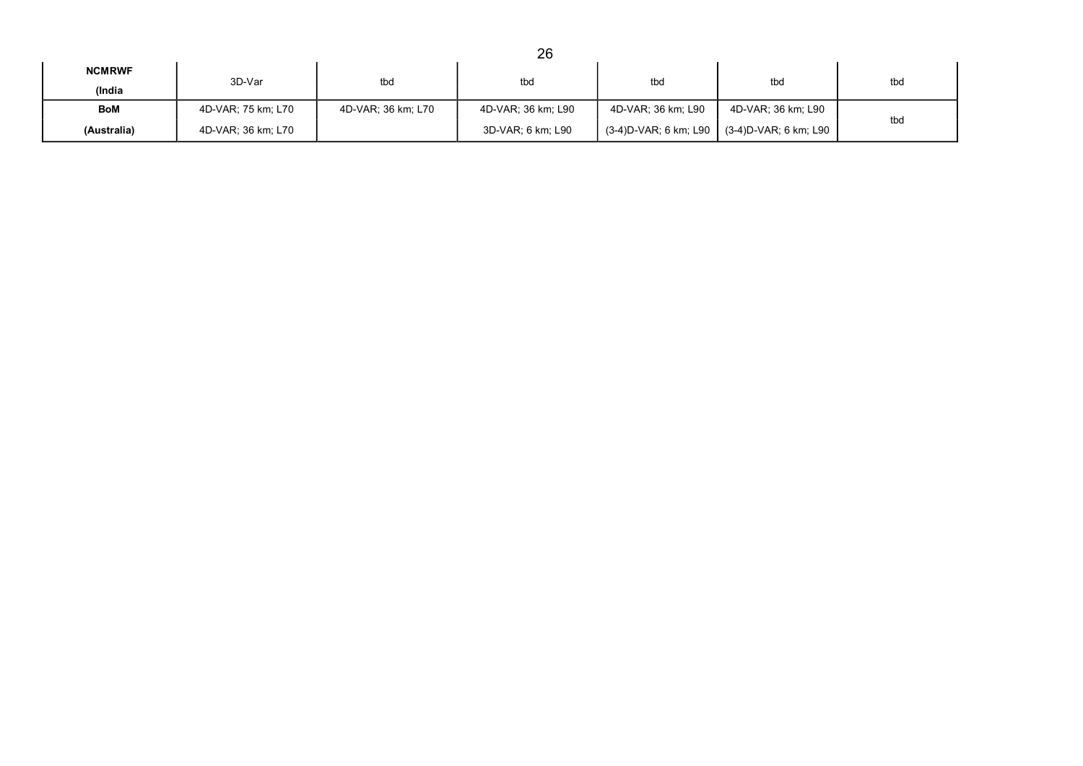|                         |                    |                    | 26                 |                    |                                             |     |
|-------------------------|--------------------|--------------------|--------------------|--------------------|---------------------------------------------|-----|
| <b>NCMRWF</b><br>(India | 3D-Var             | tbd                | tbd                | tbd                | tbd                                         | tbd |
| BoM                     | 4D-VAR: 75 km: L70 | 4D-VAR: 36 km: L70 | 4D-VAR: 36 km; L90 | 4D-VAR; 36 km; L90 | 4D-VAR; 36 km; L90                          | tbd |
| (Australia)             | 4D-VAR: 36 km; L70 |                    | 3D-VAR; 6 km; L90  |                    | (3-4)D-VAR; 6 km; L90 (3-4)D-VAR; 6 km; L90 |     |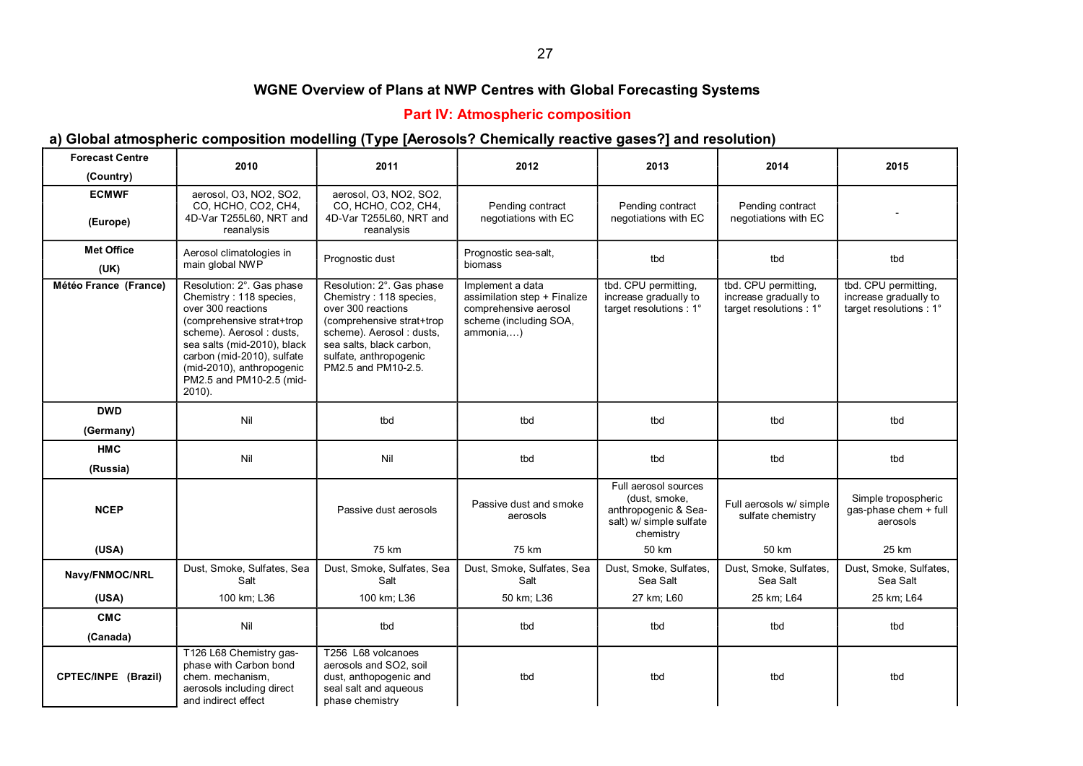## 27

#### **WGNE Overview of Plans at NWP Centres with Global Forecasting Systems**

#### **Part IV: Atmospheric composition**

## **a) Global atmospheric composition modelling (Type [Aerosols? Chemically reactive gases?] and resolution)**

| <b>Forecast Centre</b>    | 2010                                                                                                                                                                                                                                                                    | 2011                                                                                                                                                                                                             | 2012                                                                                                             | 2013                                                                                                  | 2014                                                                     | 2015                                                                     |
|---------------------------|-------------------------------------------------------------------------------------------------------------------------------------------------------------------------------------------------------------------------------------------------------------------------|------------------------------------------------------------------------------------------------------------------------------------------------------------------------------------------------------------------|------------------------------------------------------------------------------------------------------------------|-------------------------------------------------------------------------------------------------------|--------------------------------------------------------------------------|--------------------------------------------------------------------------|
| (Country)                 |                                                                                                                                                                                                                                                                         |                                                                                                                                                                                                                  |                                                                                                                  |                                                                                                       |                                                                          |                                                                          |
| <b>ECMWF</b><br>(Europe)  | aerosol, O3, NO2, SO2,<br>CO, HCHO, CO2, CH4,<br>4D-Var T255L60, NRT and<br>reanalysis                                                                                                                                                                                  | aerosol, O3, NO2, SO2,<br>CO, HCHO, CO2, CH4,<br>4D-Var T255L60, NRT and<br>reanalysis                                                                                                                           | Pending contract<br>negotiations with EC                                                                         | Pending contract<br>negotiations with EC                                                              | Pending contract<br>negotiations with EC                                 |                                                                          |
| <b>Met Office</b><br>(UK) | Aerosol climatologies in<br>main global NWP                                                                                                                                                                                                                             | Prognostic dust                                                                                                                                                                                                  | Prognostic sea-salt.<br>biomass                                                                                  | tbd                                                                                                   | tbd                                                                      | tbd                                                                      |
| Météo France (France)     | Resolution: 2°. Gas phase<br>Chemistry: 118 species,<br>over 300 reactions<br>(comprehensive strat+trop)<br>scheme). Aerosol: dusts,<br>sea salts (mid-2010), black<br>carbon (mid-2010), sulfate<br>(mid-2010), anthropogenic<br>PM2.5 and PM10-2.5 (mid-<br>$2010$ ). | Resolution: 2°. Gas phase<br>Chemistry: 118 species,<br>over 300 reactions<br>(comprehensive strat+trop<br>scheme). Aerosol: dusts.<br>sea salts, black carbon,<br>sulfate, anthropogenic<br>PM2.5 and PM10-2.5. | Implement a data<br>assimilation step + Finalize<br>comprehensive aerosol<br>scheme (including SOA,<br>ammonia,) | tbd. CPU permitting,<br>increase gradually to<br>target resolutions : 1°                              | tbd. CPU permitting,<br>increase gradually to<br>target resolutions : 1° | tbd. CPU permitting,<br>increase gradually to<br>target resolutions : 1° |
| <b>DWD</b><br>(Germany)   | Nil                                                                                                                                                                                                                                                                     | tbd                                                                                                                                                                                                              | tbd                                                                                                              | tbd                                                                                                   | tbd                                                                      | tbd                                                                      |
| <b>HMC</b>                | Nil                                                                                                                                                                                                                                                                     |                                                                                                                                                                                                                  |                                                                                                                  |                                                                                                       |                                                                          |                                                                          |
| (Russia)                  |                                                                                                                                                                                                                                                                         | Nil                                                                                                                                                                                                              | tbd                                                                                                              | tbd                                                                                                   | tbd                                                                      | tbd                                                                      |
| <b>NCEP</b>               |                                                                                                                                                                                                                                                                         | Passive dust aerosols                                                                                                                                                                                            | Passive dust and smoke<br>aerosols                                                                               | Full aerosol sources<br>(dust, smoke,<br>anthropogenic & Sea-<br>salt) w/ simple sulfate<br>chemistry | Full aerosols w/ simple<br>sulfate chemistry                             | Simple tropospheric<br>qas-phase chem + full<br>aerosols                 |
| (USA)                     |                                                                                                                                                                                                                                                                         | 75 km                                                                                                                                                                                                            | 75 km                                                                                                            | 50 km                                                                                                 | 50 km                                                                    | 25 km                                                                    |
| Navy/FNMOC/NRL            | Dust, Smoke, Sulfates, Sea<br>Salt                                                                                                                                                                                                                                      | Dust, Smoke, Sulfates, Sea<br>Salt                                                                                                                                                                               | Dust, Smoke, Sulfates, Sea<br>Salt                                                                               | Dust, Smoke, Sulfates,<br>Sea Salt                                                                    | Dust, Smoke, Sulfates,<br>Sea Salt                                       | Dust, Smoke, Sulfates,<br>Sea Salt                                       |
| (USA)                     | 100 km; L36                                                                                                                                                                                                                                                             | 100 km; L36                                                                                                                                                                                                      | 50 km; L36                                                                                                       | 27 km; L60                                                                                            | 25 km; L64                                                               | 25 km; L64                                                               |
| <b>CMC</b>                | Nil                                                                                                                                                                                                                                                                     | tbd                                                                                                                                                                                                              | tbd                                                                                                              | tbd                                                                                                   | tbd                                                                      | tbd                                                                      |
| (Canada)                  |                                                                                                                                                                                                                                                                         |                                                                                                                                                                                                                  |                                                                                                                  |                                                                                                       |                                                                          |                                                                          |
| CPTEC/INPE (Brazil)       | T126 L68 Chemistry gas-<br>phase with Carbon bond<br>chem. mechanism,<br>aerosols including direct<br>and indirect effect                                                                                                                                               | T256 L68 volcanoes<br>aerosols and SO2, soil<br>dust, anthopogenic and<br>seal salt and aqueous<br>phase chemistry                                                                                               | tbd                                                                                                              | tbd                                                                                                   | tbd                                                                      | tbd                                                                      |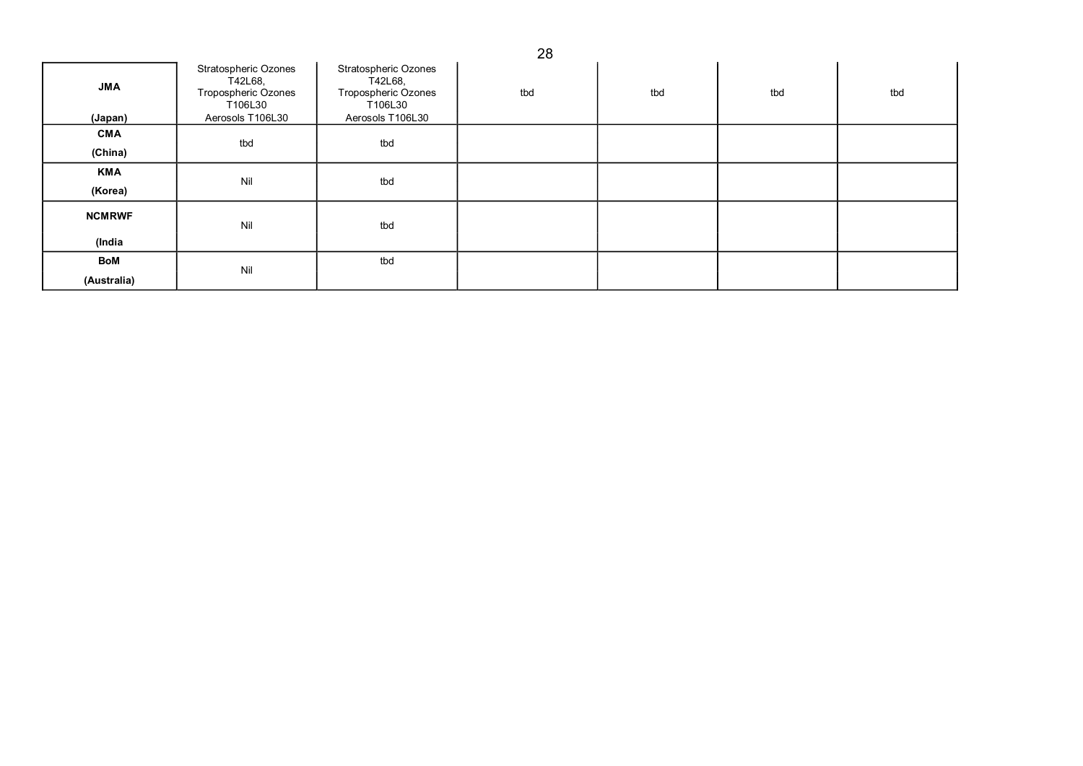| <b>JMA</b><br>(Japan) | Stratospheric Ozones<br>T42L68,<br>Tropospheric Ozones<br>T106L30<br>Aerosols T106L30 | Stratospheric Ozones<br>T42L68,<br>Tropospheric Ozones<br>T106L30<br>Aerosols T106L30 | tbd | tbd | tbd | tbd |
|-----------------------|---------------------------------------------------------------------------------------|---------------------------------------------------------------------------------------|-----|-----|-----|-----|
| <b>CMA</b>            |                                                                                       |                                                                                       |     |     |     |     |
| (China)               | tbd                                                                                   | tbd                                                                                   |     |     |     |     |
| <b>KMA</b>            | Nil                                                                                   | tbd                                                                                   |     |     |     |     |
| (Korea)               |                                                                                       |                                                                                       |     |     |     |     |
| <b>NCMRWF</b>         | Nil                                                                                   | tbd                                                                                   |     |     |     |     |
| (India                |                                                                                       |                                                                                       |     |     |     |     |
| BoM                   | Nil                                                                                   | tbd                                                                                   |     |     |     |     |
| (Australia)           |                                                                                       |                                                                                       |     |     |     |     |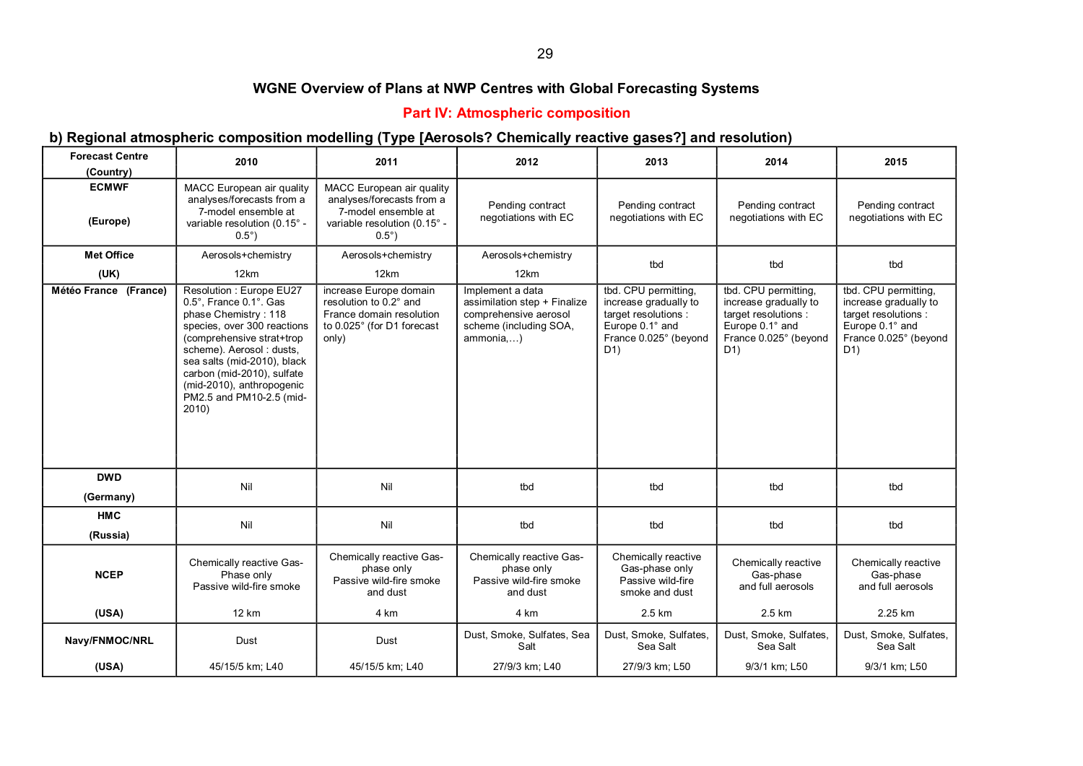#### 29

## **WGNE Overview of Plans at NWP Centres with Global Forecasting Systems**

#### **Part IV: Atmospheric composition**

#### **b) Regional atmospheric composition modelling (Type [Aerosols? Chemically reactive gases?] and resolution)**

| <b>Forecast Centre</b><br>(Country) | 2010                                                                                                                                                                                                                                                                                              | 2011                                                                                                                             | 2012                                                                                                             | 2013                                                                                                                                  | 2014                                                                                                                      | 2015                                                                                                                    |
|-------------------------------------|---------------------------------------------------------------------------------------------------------------------------------------------------------------------------------------------------------------------------------------------------------------------------------------------------|----------------------------------------------------------------------------------------------------------------------------------|------------------------------------------------------------------------------------------------------------------|---------------------------------------------------------------------------------------------------------------------------------------|---------------------------------------------------------------------------------------------------------------------------|-------------------------------------------------------------------------------------------------------------------------|
| <b>ECMWF</b><br>(Europe)            | MACC European air quality<br>analyses/forecasts from a<br>7-model ensemble at<br>variable resolution (0.15° -<br>$0.5^\circ$ )                                                                                                                                                                    | MACC European air quality<br>analyses/forecasts from a<br>7-model ensemble at<br>variable resolution (0.15° -<br>$0.5^{\circ}$ ) | Pending contract<br>negotiations with EC                                                                         | Pending contract<br>negotiations with EC                                                                                              | Pending contract<br>negotiations with EC                                                                                  | Pending contract<br>negotiations with EC                                                                                |
| <b>Met Office</b>                   | Aerosols+chemistry                                                                                                                                                                                                                                                                                | Aerosols+chemistry                                                                                                               | Aerosols+chemistry                                                                                               | tbd                                                                                                                                   | tbd                                                                                                                       | tbd                                                                                                                     |
| (UK)                                | 12km                                                                                                                                                                                                                                                                                              | 12km                                                                                                                             | 12km                                                                                                             |                                                                                                                                       |                                                                                                                           |                                                                                                                         |
| Météo France (France)               | Resolution : Europe EU27<br>0.5°. France 0.1°. Gas<br>phase Chemistry: 118<br>species, over 300 reactions<br>(comprehensive strat+trop)<br>scheme). Aerosol: dusts,<br>sea salts (mid-2010), black<br>carbon (mid-2010), sulfate<br>(mid-2010), anthropogenic<br>PM2.5 and PM10-2.5 (mid-<br>2010 | increase Europe domain<br>resolution to 0.2° and<br>France domain resolution<br>to 0.025° (for D1 forecast<br>only)              | Implement a data<br>assimilation step + Finalize<br>comprehensive aerosol<br>scheme (including SOA,<br>ammonia,) | tbd. CPU permitting,<br>increase gradually to<br>target resolutions :<br>Europe 0.1° and<br>France 0.025° (beyond<br>D <sub>1</sub> ) | tbd. CPU permitting,<br>increase gradually to<br>target resolutions :<br>Europe 0.1° and<br>France 0.025° (beyond<br>D(1) | tbd. CPU permitting,<br>increase gradually to<br>target resolutions :<br>Europe 0.1° and<br>France 0.025° (beyond<br>D1 |
| <b>DWD</b>                          | Nil                                                                                                                                                                                                                                                                                               | Nil                                                                                                                              | tbd                                                                                                              | tbd                                                                                                                                   | tbd                                                                                                                       | tbd                                                                                                                     |
| (Germany)                           |                                                                                                                                                                                                                                                                                                   |                                                                                                                                  |                                                                                                                  |                                                                                                                                       |                                                                                                                           |                                                                                                                         |
| <b>HMC</b>                          | Nil                                                                                                                                                                                                                                                                                               | Nil                                                                                                                              | tbd                                                                                                              | tbd                                                                                                                                   | tbd                                                                                                                       | tbd                                                                                                                     |
| (Russia)                            |                                                                                                                                                                                                                                                                                                   |                                                                                                                                  |                                                                                                                  |                                                                                                                                       |                                                                                                                           |                                                                                                                         |
| <b>NCEP</b>                         | Chemically reactive Gas-<br>Phase only<br>Passive wild-fire smoke                                                                                                                                                                                                                                 | Chemically reactive Gas-<br>phase only<br>Passive wild-fire smoke<br>and dust                                                    | Chemically reactive Gas-<br>phase only<br>Passive wild-fire smoke<br>and dust                                    | Chemically reactive<br>Gas-phase only<br>Passive wild-fire<br>smoke and dust                                                          | Chemically reactive<br>Gas-phase<br>and full aerosols                                                                     | Chemically reactive<br>Gas-phase<br>and full aerosols                                                                   |
| (USA)                               | 12 km                                                                                                                                                                                                                                                                                             | 4 km                                                                                                                             | 4 km                                                                                                             | 2.5 km                                                                                                                                | 2.5 km                                                                                                                    | 2.25 km                                                                                                                 |
| Navy/FNMOC/NRL                      | Dust                                                                                                                                                                                                                                                                                              | Dust                                                                                                                             | Dust, Smoke, Sulfates, Sea<br>Salt                                                                               | Dust, Smoke, Sulfates,<br>Sea Salt                                                                                                    | Dust, Smoke, Sulfates,<br>Sea Salt                                                                                        | Dust, Smoke, Sulfates,<br>Sea Salt                                                                                      |
| (USA)                               | 45/15/5 km; L40                                                                                                                                                                                                                                                                                   | 45/15/5 km; L40                                                                                                                  | 27/9/3 km: L40                                                                                                   | 27/9/3 km; L50                                                                                                                        | 9/3/1 km: L50                                                                                                             | 9/3/1 km; L50                                                                                                           |